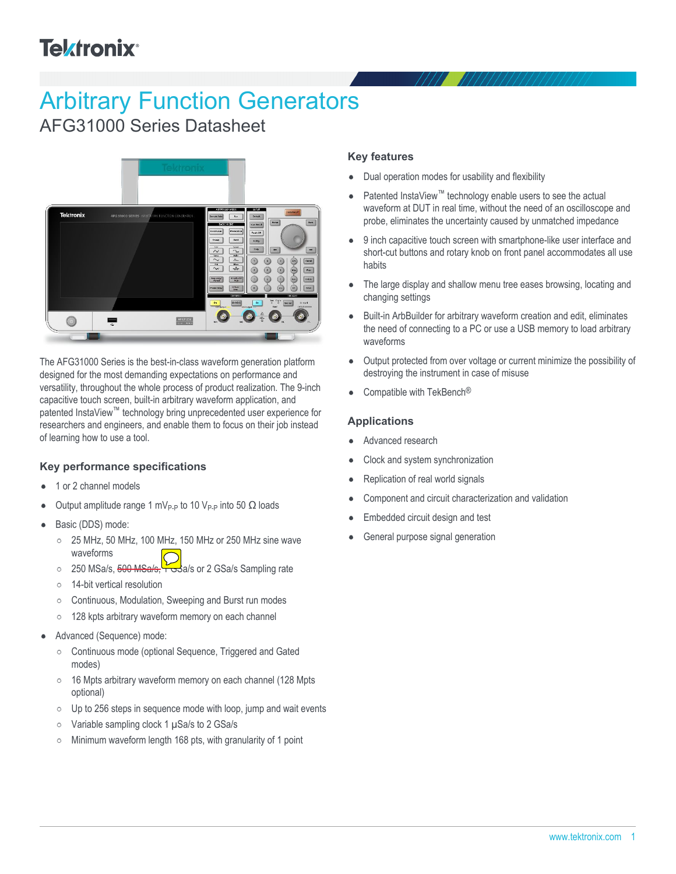# **Telxtronix**<sup>®</sup>

# Arbitrary Function Generators

AFG31000 Series Datasheet



The AFG31000 Series is the best-in-class waveform generation platform designed for the most demanding expectations on performance and versatility, throughout the whole process of product realization. The 9-inch capacitive touch screen, built-in arbitrary waveform application, and patented InstaView™ technology bring unprecedented user experience for researchers and engineers, and enable them to focus on their job instead of learning how to use a tool.

#### **Key performance specifications**

- 1 or 2 channel models
- Output amplitude range 1 mV<sub>P-P</sub> to 10 V<sub>P-P</sub> into 50 Ω loads
- Basic (DDS) mode:
	- 25 MHz, 50 MHz, 100 MHz, 150 MHz or 250 MHz sine wave  $\circ$ waveforms
	- 250 MSa/s, 500 MSa/s, 10 Sa/s or 2 GSa/s Sampling rate  $\circ$
	- 14-bit vertical resolution  $\circ$
	- Continuous, Modulation, Sweeping and Burst run modes  $\circ$
	- $\circ$ 128 kpts arbitrary waveform memory on each channel
- Advanced (Sequence) mode:
	- Continuous mode (optional Sequence, Triggered and Gated  $\circ$ modes)
	- 16 Mpts arbitrary waveform memory on each channel (128 Mpts  $\circ$ optional)
	- Up to 256 steps in sequence mode with loop, jump and wait events  $\circ$
	- Variable sampling clock 1 µSa/s to 2 GSa/s  $\circ$
	- Minimum waveform length 168 pts, with granularity of 1 point  $\circ$

#### **Key features**

- Dual operation modes for usability and flexibility
- Patented InstaView™ technology enable users to see the actual waveform at DUT in real time, without the need of an oscilloscope and probe, eliminates the uncertainty caused by unmatched impedance
- 9 inch capacitive touch screen with smartphone-like user interface and  $\bullet$ short-cut buttons and rotary knob on front panel accommodates all use habits
- The large display and shallow menu tree eases browsing, locating and  $\bullet$ changing settings
- Built-in ArbBuilder for arbitrary waveform creation and edit, eliminates  $\bullet$ the need of connecting to a PC or use a USB memory to load arbitrary waveforms
- Output protected from over voltage or current minimize the possibility of  $\bullet$ destroying the instrument in case of misuse
- Compatible with TekBench®  $\bullet$

#### **Applications**

- Advanced research
- Clock and system synchronization
- Replication of real world signals
- Component and circuit characterization and validation
- Embedded circuit design and test
- General purpose signal generation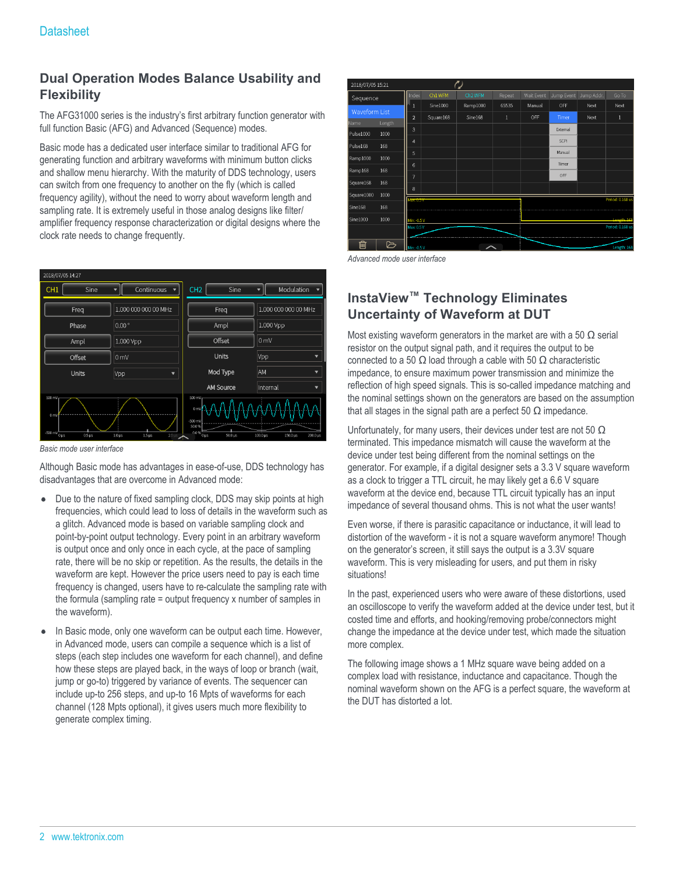# **Dual Operation Modes Balance Usability and Flexibility**

The AFG31000 series is the industry's first arbitrary function generator with full function Basic (AFG) and Advanced (Sequence) modes.

Basic mode has a dedicated user interface similar to traditional AFG for generating function and arbitrary waveforms with minimum button clicks and shallow menu hierarchy. With the maturity of DDS technology, users can switch from one frequency to another on the fly (which is called frequency agility), without the need to worry about waveform length and sampling rate. It is extremely useful in those analog designs like filter/ amplifier frequency response characterization or digital designs where the clock rate needs to change frequently.



*Basic mode user interface*

Although Basic mode has advantages in ease-of-use, DDS technology has disadvantages that are overcome in Advanced mode:

- Due to the nature of fixed sampling clock, DDS may skip points at high frequencies, which could lead to loss of details in the waveform such as a glitch. Advanced mode is based on variable sampling clock and point-by-point output technology. Every point in an arbitrary waveform is output once and only once in each cycle, at the pace of sampling rate, there will be no skip or repetition. As the results, the details in the waveform are kept. However the price users need to pay is each time frequency is changed, users have to re-calculate the sampling rate with the formula (sampling rate = output frequency x number of samples in the waveform).
- In Basic mode, only one waveform can be output each time. However,  $\bullet$ in Advanced mode, users can compile a sequence which is a list of steps (each step includes one waveform for each channel), and define how these steps are played back, in the ways of loop or branch (wait, jump or go-to) triggered by variance of events. The sequencer can include up-to 256 steps, and up-to 16 Mpts of waveforms for each channel (128 Mpts optional), it gives users much more flexibility to generate complex timing.



*Advanced mode user interface*

# **InstaView™ Technology Eliminates Uncertainty of Waveform at DUT**

Most existing waveform generators in the market are with a 50  $\Omega$  serial resistor on the output signal path, and it requires the output to be connected to a 50 Ω load through a cable with 50 Ω characteristic impedance, to ensure maximum power transmission and minimize the reflection of high speed signals. This is so-called impedance matching and the nominal settings shown on the generators are based on the assumption that all stages in the signal path are a perfect 50  $\Omega$  impedance.

Unfortunately, for many users, their devices under test are not 50  $\Omega$ terminated. This impedance mismatch will cause the waveform at the device under test being different from the nominal settings on the generator. For example, if a digital designer sets a 3.3 V square waveform as a clock to trigger a TTL circuit, he may likely get a 6.6 V square waveform at the device end, because TTL circuit typically has an input impedance of several thousand ohms. This is not what the user wants!

Even worse, if there is parasitic capacitance or inductance, it will lead to distortion of the waveform - it is not a square waveform anymore! Though on the generator's screen, it still says the output is a 3.3V square waveform. This is very misleading for users, and put them in risky situations!

In the past, experienced users who were aware of these distortions, used an oscilloscope to verify the waveform added at the device under test, but it costed time and efforts, and hooking/removing probe/connectors might change the impedance at the device under test, which made the situation more complex.

The following image shows a 1 MHz square wave being added on a complex load with resistance, inductance and capacitance. Though the nominal waveform shown on the AFG is a perfect square, the waveform at the DUT has distorted a lot.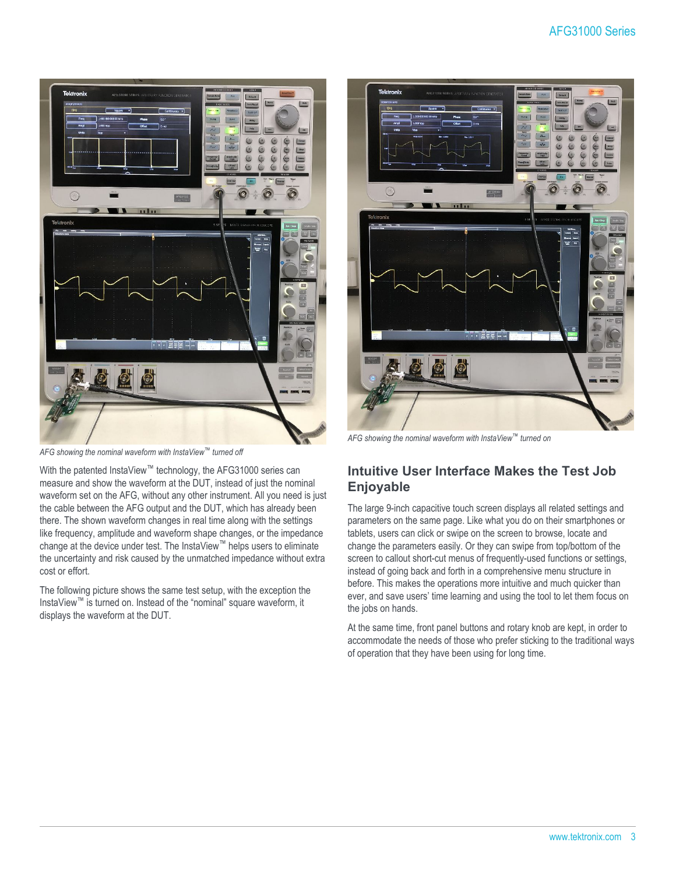

*AFG showing the nominal waveform with InstaView™ turned off*

With the patented InstaView™ technology, the AFG31000 series can measure and show the waveform at the DUT, instead of just the nominal waveform set on the AFG, without any other instrument. All you need is just the cable between the AFG output and the DUT, which has already been there. The shown waveform changes in real time along with the settings like frequency, amplitude and waveform shape changes, or the impedance change at the device under test. The InstaView™ helps users to eliminate the uncertainty and risk caused by the unmatched impedance without extra cost or effort.

The following picture shows the same test setup, with the exception the InstaView™ is turned on. Instead of the "nominal" square waveform, it displays the waveform at the DUT.



*AFG showing the nominal waveform with InstaView™ turned on*

# **Intuitive User Interface Makes the Test Job Enjoyable**

The large 9-inch capacitive touch screen displays all related settings and parameters on the same page. Like what you do on their smartphones or tablets, users can click or swipe on the screen to browse, locate and change the parameters easily. Or they can swipe from top/bottom of the screen to callout short-cut menus of frequently-used functions or settings, instead of going back and forth in a comprehensive menu structure in before. This makes the operations more intuitive and much quicker than ever, and save users' time learning and using the tool to let them focus on the jobs on hands.

At the same time, front panel buttons and rotary knob are kept, in order to accommodate the needs of those who prefer sticking to the traditional ways of operation that they have been using for long time.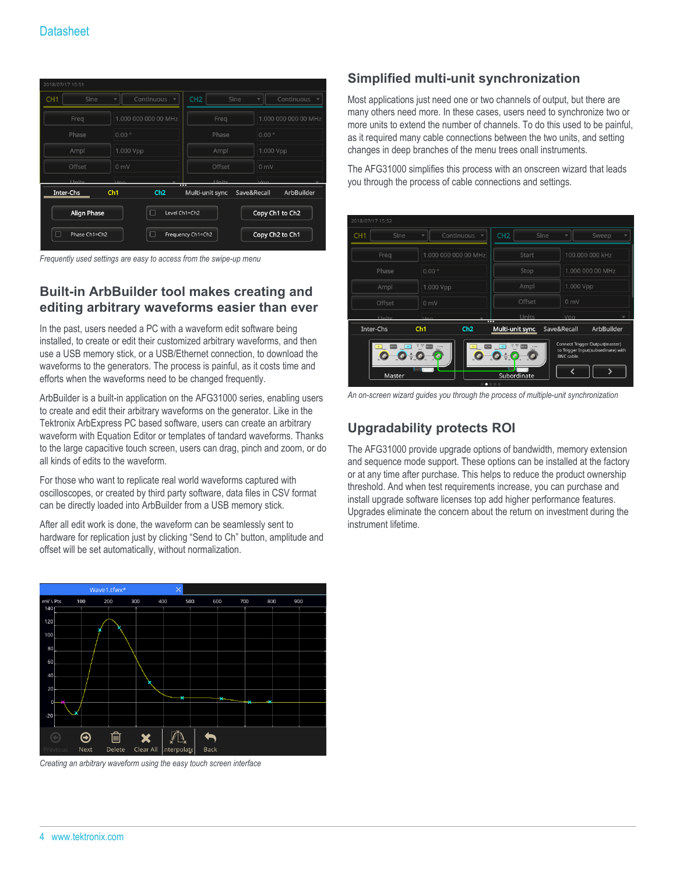|                 | 2018/07/17 15:51   |                 |                      |                     |         |             |                         |                                         |  |
|-----------------|--------------------|-----------------|----------------------|---------------------|---------|-------------|-------------------------|-----------------------------------------|--|
| CH <sub>1</sub> | Sine               |                 | Continuous           | CH <sub>2</sub>     |         | Sine        | $\overline{\mathbf{v}}$ | Continuous                              |  |
|                 | Freq               |                 | 1.000 000 000 00 MHz |                     | Freg    |             |                         | 1.000 000 000 00 MHz                    |  |
|                 | Phase              | 0.00°           |                      |                     | Phase   |             | 0.00°                   |                                         |  |
|                 | Ampl               | 1.000 Vpp       |                      |                     | Ampl    |             | 1.000 Vpp               |                                         |  |
|                 | Offset             | 0 <sub>m</sub>  |                      |                     | Offset  |             | 0 <sub>m</sub>          |                                         |  |
|                 | <b>Hnite</b>       | $\frac{1}{2}$   |                      | $\overline{\cdots}$ | Linited |             | $\frac{1}{10}$          |                                         |  |
|                 | Inter-Chs          | Ch <sub>1</sub> | Ch2                  | Multi-unit sync     |         | Save&Recall |                         | <b>ArbBuilder</b>                       |  |
|                 | <b>Align Phase</b> |                 | □                    | Level Ch1=Ch2       |         |             |                         | Copy Ch1 to Ch2                         |  |
|                 | Phase Ch1=Ch2      |                 |                      | Frequency Ch1=Ch2   |         |             |                         | Copy Ch <sub>2</sub> to Ch <sub>1</sub> |  |

*Frequently used settings are easy to access from the swipe-up menu*

# **Built-in ArbBuilder tool makes creating and editing arbitrary waveforms easier than ever**

In the past, users needed a PC with a waveform edit software being installed, to create or edit their customized arbitrary waveforms, and then use a USB memory stick, or a USB/Ethernet connection, to download the waveforms to the generators. The process is painful, as it costs time and efforts when the waveforms need to be changed frequently.

ArbBuilder is a built-in application on the AFG31000 series, enabling users to create and edit their arbitrary waveforms on the generator. Like in the Tektronix ArbExpress PC based software, users can create an arbitrary waveform with Equation Editor or templates of tandard waveforms. Thanks to the large capacitive touch screen, users can drag, pinch and zoom, or do all kinds of edits to the waveform.

For those who want to replicate real world waveforms captured with oscilloscopes, or created by third party software, data files in CSV format can be directly loaded into ArbBuilder from a USB memory stick.

After all edit work is done, the waveform can be seamlessly sent to hardware for replication just by clicking "Send to Ch" button, amplitude and offset will be set automatically, without normalization.



*Creating an arbitrary waveform using the easy touch screen interface*

## **Simplified multi-unit synchronization**

Most applications just need one or two channels of output, but there are many others need more. In these cases, users need to synchronize two or more units to extend the number of channels. To do this used to be painful, as it required many cable connections between the two units, and setting changes in deep branches of the menu trees onall instruments.

The AFG31000 simplifies this process with an onscreen wizard that leads you through the process of cable connections and settings.



*An on-screen wizard guides you through the process of multiple-unit synchronization*

# **Upgradability protects ROI**

The AFG31000 provide upgrade options of bandwidth, memory extension and sequence mode support. These options can be installed at the factory or at any time after purchase. This helps to reduce the product ownership threshold. And when test requirements increase, you can purchase and install upgrade software licenses top add higher performance features. Upgrades eliminate the concern about the return on investment during the instrument lifetime.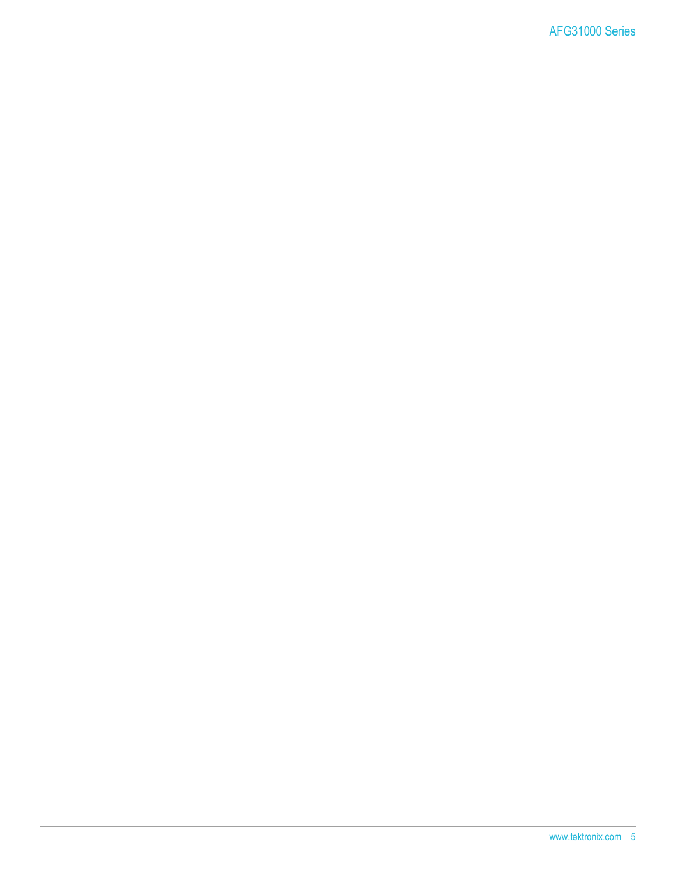AFG31000 Series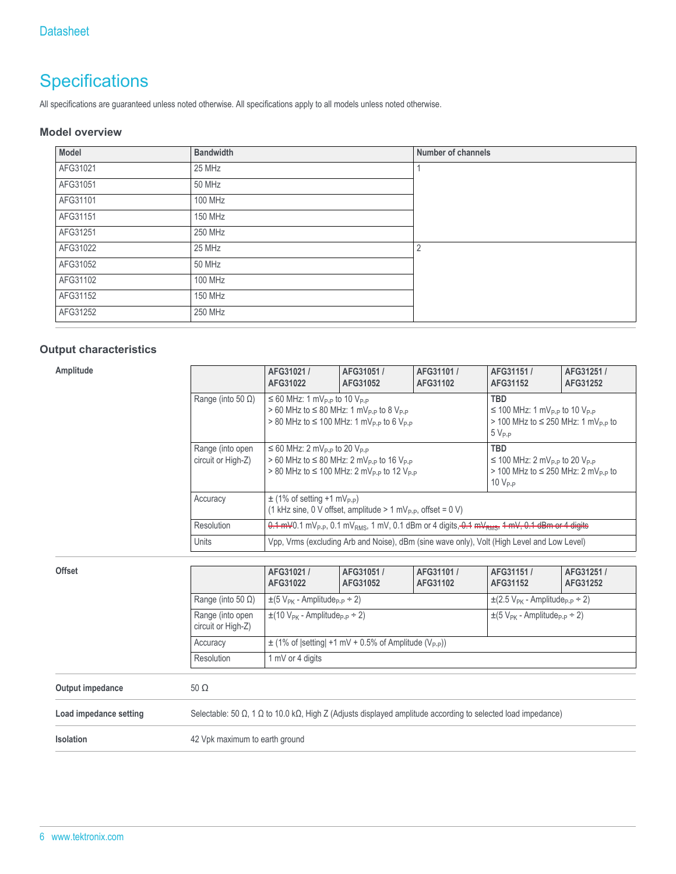# **Specifications**

All specifications are guaranteed unless noted otherwise. All specifications apply to all models unless noted otherwise.

#### **Model overview**

| Model    | <b>Bandwidth</b> | Number of channels |
|----------|------------------|--------------------|
| AFG31021 | 25 MHz           |                    |
| AFG31051 | 50 MHz           |                    |
| AFG31101 | 100 MHz          |                    |
| AFG31151 | <b>150 MHz</b>   |                    |
| AFG31251 | 250 MHz          |                    |
| AFG31022 | 25 MHz           | $\overline{2}$     |
| AFG31052 | 50 MHz           |                    |
| AFG31102 | 100 MHz          |                    |
| AFG31152 | <b>150 MHz</b>   |                    |
| AFG31252 | 250 MHz          |                    |

# **Output characteristics**

 $Amplitude$ 

|                                        | AFG31021 /<br>AFG31022                                                                                                                                                                                       | AFG31051/<br>AFG31052 | AFG31101 /<br>AFG31102 | AFG31151/<br>AFG31152                                                                                                                           | AFG31251/<br>AFG31252 |
|----------------------------------------|--------------------------------------------------------------------------------------------------------------------------------------------------------------------------------------------------------------|-----------------------|------------------------|-------------------------------------------------------------------------------------------------------------------------------------------------|-----------------------|
| Range (into 50 $\Omega$ )              | $\leq$ 60 MHz: 1 mV <sub>P-P</sub> to 10 V <sub>P-P</sub><br>> 60 MHz to $\leq$ 80 MHz: 1 mV <sub>P-P</sub> to 8 V <sub>P-P</sub><br>$> 80$ MHz to $\leq 100$ MHz: 1 mV <sub>P-P</sub> to 6 V <sub>P-P</sub> |                       |                        | <b>TBD</b><br>$\leq$ 100 MHz: 1 mV <sub>P-P</sub> to 10 V <sub>P-P</sub><br>> 100 MHz to ≤ 250 MHz: 1 mV <sub>P-P</sub> to<br>$5V_{\text{P-P}}$ |                       |
| Range (into open<br>circuit or High-Z) | $\leq$ 60 MHz: 2 mV <sub>P-P</sub> to 20 V <sub>P-P</sub><br>> 60 MHz to ≤ 80 MHz: 2 mV <sub>P-P</sub> to 16 V <sub>P-P</sub><br>> 80 MHz to ≤ 100 MHz: 2 mV <sub>P-P</sub> to 12 V <sub>P-P</sub>           |                       |                        | <b>TBD</b><br>≤ 100 MHz: 2 mV <sub>P-P</sub> to 20 V <sub>P-P</sub><br>> 100 MHz to ≤ 250 MHz: 2 mV <sub>P-P</sub> to<br>$10V_{\text{P-P}}$     |                       |
| Accuracy                               | $\pm$ (1% of setting +1 mV <sub>P-P</sub> )<br>(1 kHz sine, 0 V offset, amplitude $> 1$ mV <sub>P-P</sub> , offset = 0 V)                                                                                    |                       |                        |                                                                                                                                                 |                       |
| Resolution                             | $0.1$ mV0.1 mV <sub>P-P</sub> , 0.1 mV <sub>RMS</sub> , 1 mV, 0.1 dBm or 4 digits, 0.1 mV <sub>RMS</sub> , 1 mV, 0.1 dBm or 4 digits                                                                         |                       |                        |                                                                                                                                                 |                       |
| Units                                  | Vpp, Vrms (excluding Arb and Noise), dBm (sine wave only), Volt (High Level and Low Level)                                                                                                                   |                       |                        |                                                                                                                                                 |                       |

| <b>Offset</b>          |                                        | AFG31021/<br>AFG31022                                                                                                               | AFG31051/<br>AFG31052                                          | AFG31101/<br>AFG31102 | AFG31151/<br>AFG31152                                    | AFG31251/<br>AFG31252                                      |  |
|------------------------|----------------------------------------|-------------------------------------------------------------------------------------------------------------------------------------|----------------------------------------------------------------|-----------------------|----------------------------------------------------------|------------------------------------------------------------|--|
|                        | Range (into 50 $\Omega$ )              |                                                                                                                                     | $\pm (5 \text{ V}_{\text{PK}} -$ Amplitude <sub>P-P</sub> ÷ 2) |                       |                                                          | $\pm$ (2.5 V <sub>PK</sub> - Amplitude <sub>P-P</sub> ÷ 2) |  |
|                        | Range (into open<br>circuit or High-Z) | $\pm$ (10 V <sub>PK</sub> - Amplitude <sub>P-P</sub> ÷ 2)                                                                           |                                                                |                       | $\pm$ (5 V <sub>PK</sub> - Amplitude <sub>P-P</sub> ÷ 2) |                                                            |  |
|                        | Accuracy                               | $\pm$ (1% of  setting  +1 mV + 0.5% of Amplitude (V <sub>P-P</sub> ))                                                               |                                                                |                       |                                                          |                                                            |  |
|                        | Resolution                             | 1 mV or 4 digits                                                                                                                    |                                                                |                       |                                                          |                                                            |  |
| Output impedance       | 50 $\Omega$                            |                                                                                                                                     |                                                                |                       |                                                          |                                                            |  |
| Load impedance setting |                                        | Selectable: 50 $\Omega$ , 1 $\Omega$ to 10.0 k $\Omega$ , High Z (Adjusts displayed amplitude according to selected load impedance) |                                                                |                       |                                                          |                                                            |  |
| <b>Isolation</b>       | 42 Vpk maximum to earth ground         |                                                                                                                                     |                                                                |                       |                                                          |                                                            |  |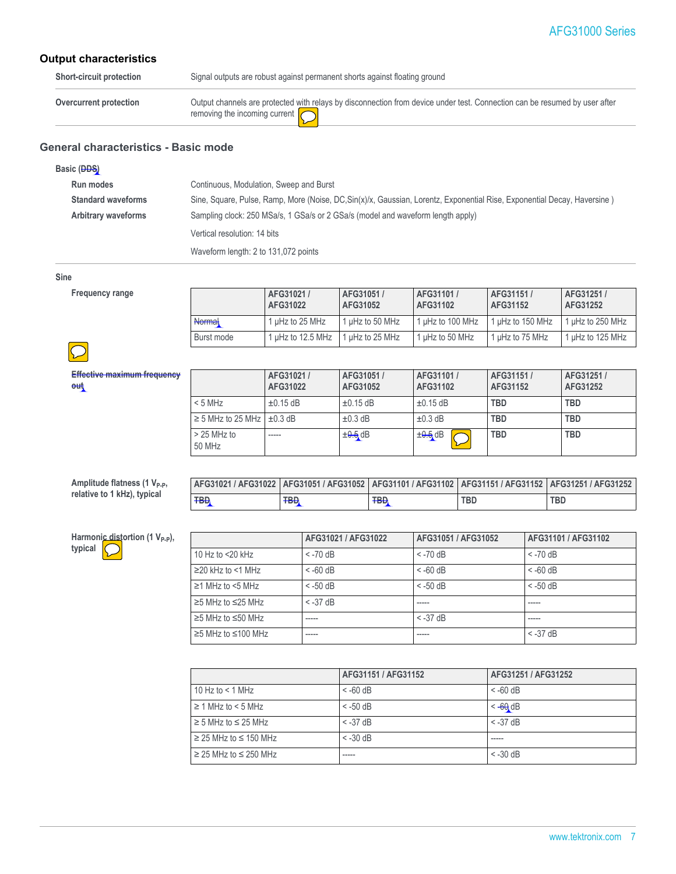#### **Output characteristics**

**Short-circuit protection** Signal outputs are robust against permanent shorts against floating ground

**Overcurrent protection Dutput channels are protected with relays by disconnection from device under test. Connection can be resumed by user after** removing the incoming current

#### **General characteristics - Basic mode**

| Basic ( <del>DDS</del> )   |                                                                                                                          |
|----------------------------|--------------------------------------------------------------------------------------------------------------------------|
| <b>Run modes</b>           | Continuous, Modulation, Sweep and Burst                                                                                  |
| <b>Standard waveforms</b>  | Sine, Square, Pulse, Ramp, More (Noise, DC, Sin(x)/x, Gaussian, Lorentz, Exponential Rise, Exponential Decay, Haversine) |
| <b>Arbitrary waveforms</b> | Sampling clock: 250 MSa/s, 1 GSa/s or 2 GSa/s (model and waveform length apply)                                          |
|                            | Vertical resolution: 14 bits                                                                                             |
|                            | Waveform length: 2 to 131,072 points                                                                                     |

#### **Sine**

#### **Frequency range**

|               | AFG31021/<br>AFG31022 | AFG31051/<br>AFG31052 | AFG31101/<br>AFG31102 | AFG31151/<br>AFG31152 | AFG31251/<br>AFG31252 |
|---------------|-----------------------|-----------------------|-----------------------|-----------------------|-----------------------|
| <b>Normal</b> | 1 uHz to 25 MHz       | 1 uHz to 50 MHz       | 1 uHz to 100 MHz      | 1 uHz to 150 MHz      | 1 uHz to 250 MHz      |
| Burst mode    | 1 uHz to 12.5 MHz     | uHz to 25 MHz         | 1 uHz to 50 MHz       | 1 µHz to 75 MHz       | 1 $\mu$ Hz to 125 MHz |

#### **Effective maximum frequency out**

|                                             | AFG31021/<br>AFG31022 | AFG31051/<br>AFG31052 | AFG31101/<br>AFG31102 | AFG31151/<br>AFG31152 | AFG31251/<br>AFG31252 |
|---------------------------------------------|-----------------------|-----------------------|-----------------------|-----------------------|-----------------------|
| < 5 MHz                                     | $\pm 0.15$ dB         | $\pm 0.15$ dB         | $\pm 0.15$ dB         | <b>TBD</b>            | <b>TBD</b>            |
| $\geq$ 5 MHz to 25 MHz $\vert$ $\pm$ 0.3 dB |                       | $\pm 0.3$ dB          | $\pm 0.3$ dB          | <b>TBD</b>            | <b>TBD</b>            |
| $> 25$ MHz to<br>50 MHz                     | -----                 | $\pm$ 0.5 dB          | $\pm$ 0.5 dB          | <b>TBD</b>            | <b>TBD</b>            |

#### Amplitude flatness (1 V<sub>P-P</sub>, **relative to 1 kHz), typical**

|            |                |            | AFG31021 / AFG31022   AFG31051 / AFG31052   AFG31101 / AFG31102   AFG31151 / AFG31152   AFG31251 / AFG31252 |     |
|------------|----------------|------------|-------------------------------------------------------------------------------------------------------------|-----|
| <b>TBD</b> | <del>TBD</del> | <b>TBD</b> | <b>TBD</b>                                                                                                  | TBD |

| Harmonic distortion (1 V <sub>p.p</sub> ), |  |  |  |  |  |
|--------------------------------------------|--|--|--|--|--|
| typical $\bigcirc$                         |  |  |  |  |  |

|                         | AFG31021 / AFG31022 | AFG31051 / AFG31052 | AFG31101 / AFG31102 |
|-------------------------|---------------------|---------------------|---------------------|
| 10 Hz to $<$ 20 kHz     | $<$ -70 dB          | $<$ -70 dB          | $<$ -70 dB          |
| $\geq$ 20 kHz to <1 MHz | $< -60$ dB          | $< -60$ dB          | $< -60$ dB          |
| $\geq$ 1 MHz to <5 MHz  | $< -50$ dB          | $< -50$ dB          | $< -50$ dB          |
| $≥5$ MHz to $≤25$ MHz   | $< -37$ dB          | -----               | -----               |
| $≥5$ MHz to ≤50 MHz     | -----               | $< -37$ dB          | -----               |
| $≥5$ MHz to ≤100 MHz    | -----               | -----               | $< -37$ dB          |

|                                 | AFG31151 / AFG31152 | AFG31251 / AFG31252 |
|---------------------------------|---------------------|---------------------|
| 10 Hz to $<$ 1 MHz              | $< -60$ dB          | $< -60$ dB          |
| $\geq$ 1 MHz to < 5 MHz         | $< -50$ dB          | $< -60$ dB          |
| $\geq$ 5 MHz to $\leq$ 25 MHz   | $< -37$ dB          | $<$ -37 dB          |
| $\geq$ 25 MHz to $\leq$ 150 MHz | $< -30$ dB          | -----               |
| $\geq$ 25 MHz to $\leq$ 250 MHz | -----               | $< -30$ dB          |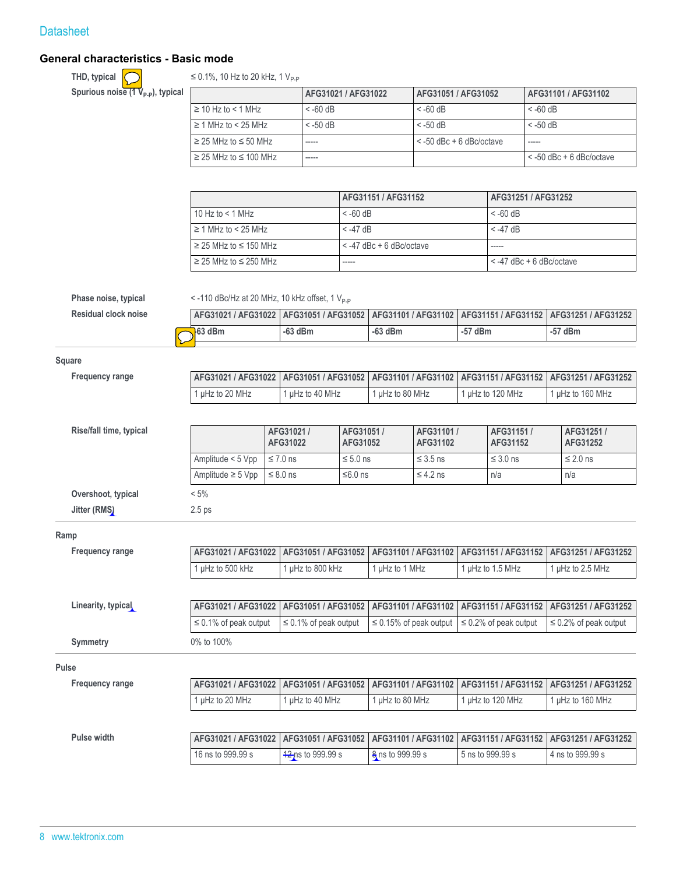### **General characteristics - Basic mode**

**Spurious noise (1 V<sub>P-P</sub>), typical** 

```
THD, typical \bigcirc \leq 0.1\%, 10 Hz to 20 kHz, 1 V<sub>P-P</sub>
```

|                                | AFG31021 / AFG31022 | AFG31051 / AFG31052          | AFG31101 / AFG31102          |
|--------------------------------|---------------------|------------------------------|------------------------------|
| $\geq$ 10 Hz to < 1 MHz        | $< -60$ dB          | $<$ -60 dB                   | $<$ -60 dB                   |
| $\geq 1$ MHz to < 25 MHz       | $< -50$ dB          | $<$ -50 dB                   | $< -50$ dB                   |
| $\geq$ 25 MHz to $\leq$ 50 MHz | -----               | $\le$ -50 dBc + 6 dBc/octave | -----                        |
| $\geq$ 25 MHz to ≤ 100 MHz     | -----               |                              | $\le$ -50 dBc + 6 dBc/octave |

|                                 | AFG31151 / AFG31152        | AFG31251 / AFG31252          |
|---------------------------------|----------------------------|------------------------------|
| 10 Hz to $<$ 1 MHz              | $< -60$ dB                 | $<$ -60 dB                   |
| $\geq$ 1 MHz to < 25 MHz        | $< -47$ dB                 | $< -47$ dB                   |
| $\geq$ 25 MHz to $\leq$ 150 MHz | $<$ -47 dBc + 6 dBc/octave | -----                        |
| $\geq$ 25 MHz to $\leq$ 250 MHz | -----                      | $\le$ -47 dBc + 6 dBc/octave |

|  | Phase noise, typical |
|--|----------------------|
|  |                      |

**Phase noise, typical** < -110 dBc/Hz at 20 MHz, 10 kHz offset, 1 V<sub>P-P</sub>

 $F$ Frequency range

| Residual clock noise |  |
|----------------------|--|

| Residual clock noise |  |           |           | ∣ AFG31021 / AFG31022 ∣ AFG31051 / AFG31052 ∣ AFG31101 / AFG31102 ∣ AFG31151 / AFG31152 ∣ AFG31251 / AFG31252 |           |
|----------------------|--|-----------|-----------|---------------------------------------------------------------------------------------------------------------|-----------|
|                      |  | $-63$ dBm | $-63$ dBm | $-57$ dBm                                                                                                     | $-57$ dBm |

#### **Square**

|                 | AFG31021 / AFG31022   AFG31051 / AFG31052   AFG31101 / AFG31102   AFG31151 / AFG31152   AFG31251 / AFG31252 |                 |                  |                  |
|-----------------|-------------------------------------------------------------------------------------------------------------|-----------------|------------------|------------------|
| 1 uHz to 20 MHz | 1 µHz to 40 MHz                                                                                             | 1 uHz to 80 MHz | 1 uHz to 120 MHz | 1 uHz to 160 MHz |

| Rise/fall time, typical |                        | AFG31021/<br>AFG31022 | AFG31051/<br>AFG31052 | AFG31101/<br>AFG31102 | AFG31151/<br>AFG31152 | AFG31251/<br>AFG31252 |
|-------------------------|------------------------|-----------------------|-----------------------|-----------------------|-----------------------|-----------------------|
|                         | Amplitude < 5 Vpp      | $\leq 7.0$ ns         | $\leq 5.0$ ns         | $\leq$ 3.5 ns         | $\leq 3.0$ ns         | $\leq$ 2.0 ns         |
|                         | Amplitude $\geq 5$ Vpp | $\leq 8.0$ ns         | $≤6.0$ ns             | $\leq 4.2$ ns         | n/a                   | n/a                   |
| Overshoot, typical      | $< 5\%$                |                       |                       |                       |                       |                       |
| Jitter (RMS)            | 2.5 <sub>ps</sub>      |                       |                       |                       |                       |                       |

#### **Ramp**

| <b>Frequency range</b> | AFG31021 / AFG31022        | AFG31051 / AFG31052        | AFG31101 / AFG31102         | AFG31151 / AFG31152        | AFG31251 / AFG31252        |
|------------------------|----------------------------|----------------------------|-----------------------------|----------------------------|----------------------------|
|                        | 1 µHz to 500 kHz           | 1 µHz to 800 kHz           | 1 µHz to 1 MHz              | 1 µHz to 1.5 MHz           | 1 µHz to 2.5 MHz           |
|                        |                            |                            |                             |                            |                            |
| Linearity, typical     | AFG31021 / AFG31022        | AFG31051 / AFG31052        | AFG31101 / AFG31102         | AFG31151 / AFG31152        | AFG31251 / AFG31252        |
|                        | $\leq$ 0.1% of peak output | $\leq$ 0.1% of peak output | $\leq$ 0.15% of peak output | $\leq$ 0.2% of peak output | $\leq$ 0.2% of peak output |
| <b>Symmetry</b>        | 0% to 100%                 |                            |                             |                            |                            |
| Pulse                  |                            |                            |                             |                            |                            |
| <b>Frequency range</b> | AFG31021 / AFG31022        | AFG31051 / AFG31052        | AFG31101 / AFG31102         | AFG31151 / AFG31152        | AFG31251 / AFG31252        |
|                        | 1 µHz to 20 MHz            | 1 µHz to 40 MHz            | 1 µHz to 80 MHz             | 1 µHz to 120 MHz           | 1 µHz to 160 MHz           |
|                        |                            |                            |                             |                            |                            |
|                        |                            |                            |                             |                            |                            |
| <b>Pulse width</b>     | AFG31021 / AFG31022        | AFG31051 / AFG31052        | AFG31101 / AFG31102         | AFG31151 / AFG31152        | AFG31251 / AFG31252        |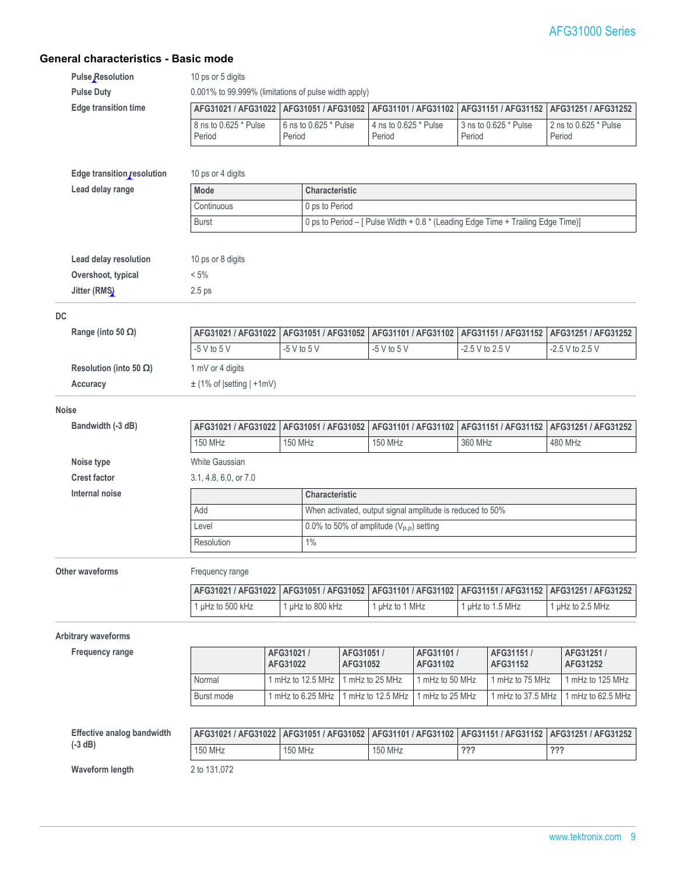#### **General characteristics - Basic mode**

| <b>Pulse Resolution</b>                        | 10 ps or 5 digits               |                                                      |                                 |                       |                                                           |                        |                 |                                                                                  |                   |                        |
|------------------------------------------------|---------------------------------|------------------------------------------------------|---------------------------------|-----------------------|-----------------------------------------------------------|------------------------|-----------------|----------------------------------------------------------------------------------|-------------------|------------------------|
| <b>Pulse Duty</b>                              |                                 | 0.001% to 99.999% (limitations of pulse width apply) |                                 |                       |                                                           |                        |                 |                                                                                  |                   |                        |
| <b>Edge transition time</b>                    | AFG31021 / AFG31022             |                                                      | AFG31051 / AFG31052             |                       | AFG31101 / AFG31102                                       |                        |                 | AFG31151 / AFG31152                                                              |                   | AFG31251 / AFG31252    |
|                                                | 8 ns to 0.625 * Pulse<br>Period |                                                      | 6 ns to 0.625 * Pulse<br>Period |                       | 4 ns to 0.625 * Pulse<br>Period                           |                        | Period          | 3 ns to 0.625 * Pulse                                                            | Period            | 2 ns to 0.625 * Pulse  |
| Edge transition resolution                     | 10 ps or 4 digits               |                                                      |                                 |                       |                                                           |                        |                 |                                                                                  |                   |                        |
| Lead delay range                               | Mode                            |                                                      | <b>Characteristic</b>           |                       |                                                           |                        |                 |                                                                                  |                   |                        |
|                                                | Continuous                      |                                                      | 0 ps to Period                  |                       |                                                           |                        |                 |                                                                                  |                   |                        |
|                                                | <b>Burst</b>                    |                                                      |                                 |                       |                                                           |                        |                 | 0 ps to Period - [ Pulse Width + 0.8 * (Leading Edge Time + Trailing Edge Time)] |                   |                        |
| Lead delay resolution                          | 10 ps or 8 digits               |                                                      |                                 |                       |                                                           |                        |                 |                                                                                  |                   |                        |
| Overshoot, typical                             | $< 5\%$                         |                                                      |                                 |                       |                                                           |                        |                 |                                                                                  |                   |                        |
| Jitter (RMS)                                   | 2.5 <sub>ps</sub>               |                                                      |                                 |                       |                                                           |                        |                 |                                                                                  |                   |                        |
| DC                                             |                                 |                                                      |                                 |                       |                                                           |                        |                 |                                                                                  |                   |                        |
| Range (into 50 $\Omega$ )                      | AFG31021 / AFG31022             |                                                      | AFG31051 / AFG31052             |                       | AFG31101 / AFG31102                                       |                        |                 | AFG31151 / AFG31152                                                              |                   | AFG31251 / AFG31252    |
|                                                | $-5$ V to $5$ V                 |                                                      | $-5$ V to $5$ V                 |                       | $-5$ V to $5$ V                                           |                        | -2.5 V to 2.5 V |                                                                                  | $-2.5$ V to 2.5 V |                        |
| Resolution (into 50 $\Omega$ )                 | 1 mV or 4 digits                |                                                      |                                 |                       |                                                           |                        |                 |                                                                                  |                   |                        |
| Accuracy                                       | $\pm$ (1% of  setting   +1mV)   |                                                      |                                 |                       |                                                           |                        |                 |                                                                                  |                   |                        |
| <b>Noise</b>                                   |                                 |                                                      |                                 |                       |                                                           |                        |                 |                                                                                  |                   |                        |
| Bandwidth (-3 dB)                              | AFG31021 / AFG31022             |                                                      | AFG31051 / AFG31052             |                       | AFG31101 / AFG31102                                       |                        |                 | AFG31151 / AFG31152                                                              |                   | AFG31251 / AFG31252    |
|                                                | <b>150 MHz</b>                  |                                                      | <b>150 MHz</b>                  |                       | <b>150 MHz</b>                                            |                        | 360 MHz         |                                                                                  | 480 MHz           |                        |
| Noise type                                     | White Gaussian                  |                                                      |                                 |                       |                                                           |                        |                 |                                                                                  |                   |                        |
| <b>Crest factor</b>                            | 3.1, 4.8, 6.0, or 7.0           |                                                      |                                 |                       |                                                           |                        |                 |                                                                                  |                   |                        |
| Internal noise                                 |                                 |                                                      | Characteristic                  |                       |                                                           |                        |                 |                                                                                  |                   |                        |
|                                                | Add                             |                                                      |                                 |                       | When activated, output signal amplitude is reduced to 50% |                        |                 |                                                                                  |                   |                        |
|                                                | Level                           |                                                      |                                 |                       | 0.0% to 50% of amplitude ( $V_{\text{P-P}}$ ) setting     |                        |                 |                                                                                  |                   |                        |
|                                                | Resolution                      |                                                      | $1\%$                           |                       |                                                           |                        |                 |                                                                                  |                   |                        |
| Other waveforms                                | Frequency range                 |                                                      |                                 |                       |                                                           |                        |                 |                                                                                  |                   |                        |
|                                                | AFG31021 / AFG31022             |                                                      | AFG31051 / AFG31052             |                       | AFG31101 / AFG31102                                       |                        |                 | AFG31151 / AFG31152                                                              |                   | AFG31251 / AFG31252    |
|                                                | 1 µHz to 500 kHz                |                                                      | 1 µHz to 800 kHz                |                       | 1 µHz to 1 MHz                                            |                        |                 | 1 µHz to 1.5 MHz                                                                 |                   | 1 µHz to 2.5 MHz       |
| Arbitrary waveforms                            |                                 |                                                      |                                 |                       |                                                           |                        |                 |                                                                                  |                   |                        |
| <b>Frequency range</b>                         |                                 | AFG31021 /<br>AFG31022                               |                                 | AFG31051/<br>AFG31052 |                                                           | AFG31101 /<br>AFG31102 |                 | AFG31151 /<br>AFG31152                                                           |                   | AFG31251 /<br>AFG31252 |
|                                                | Normal                          | 1 mHz to 12.5 MHz                                    |                                 |                       | 1 mHz to 25 MHz                                           | 1 mHz to 50 MHz        |                 | 1 mHz to 75 MHz                                                                  |                   | 1 mHz to 125 MHz       |
|                                                | Burst mode                      |                                                      | 1 mHz to 6.25 MHz               |                       | 1 mHz to 12.5 MHz                                         | 1 mHz to 25 MHz        |                 | 1 mHz to 37.5 MHz                                                                |                   | 1 mHz to 62.5 MHz      |
|                                                |                                 |                                                      |                                 |                       |                                                           |                        |                 |                                                                                  |                   |                        |
| <b>Effective analog bandwidth</b><br>$(-3 dB)$ | AFG31021 / AFG31022             |                                                      | AFG31051 / AFG31052             |                       | AFG31101 / AFG31102                                       |                        |                 | AFG31151 / AFG31152                                                              |                   | AFG31251 / AFG31252    |
|                                                | <b>150 MHz</b>                  |                                                      | <b>150 MHz</b>                  |                       | <b>150 MHz</b>                                            |                        | ???             |                                                                                  | ???               |                        |
| Waveform length                                | 2 to 131,072                    |                                                      |                                 |                       |                                                           |                        |                 |                                                                                  |                   |                        |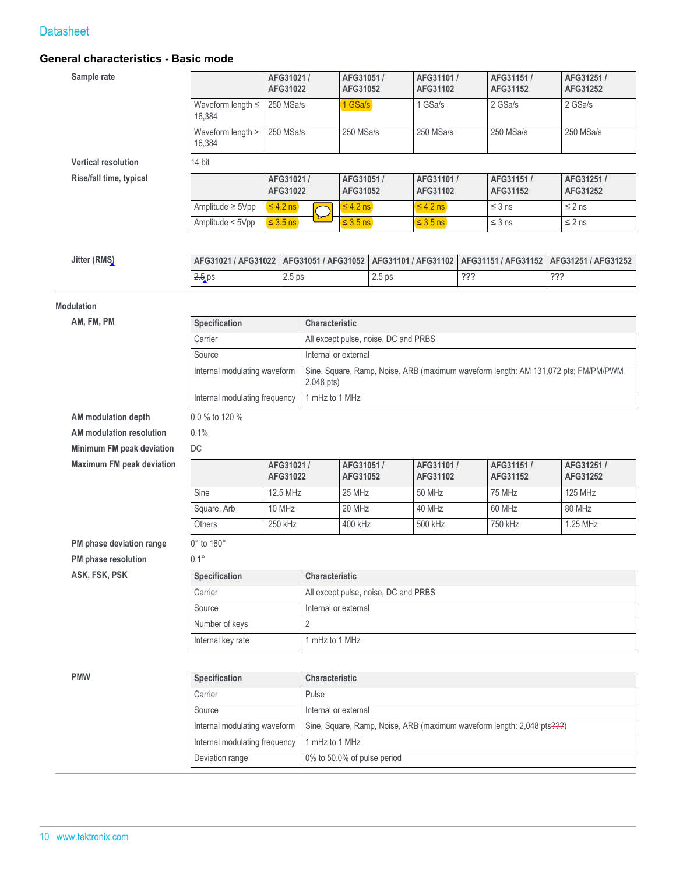#### **General characteristics - Basic mode**

| neral characteristics - Basic mode |                                  |                               |                                                                                    |                       |                   |                        |     |                                                                        |                        |  |
|------------------------------------|----------------------------------|-------------------------------|------------------------------------------------------------------------------------|-----------------------|-------------------|------------------------|-----|------------------------------------------------------------------------|------------------------|--|
| Sample rate                        |                                  | AFG31021 /<br>AFG31022        |                                                                                    | AFG31051/<br>AFG31052 |                   | AFG31101 /<br>AFG31102 |     | AFG31151 /<br>AFG31152                                                 | AFG31251 /<br>AFG31252 |  |
|                                    | Waveform length $\leq$<br>16,384 | 250 MSa/s                     |                                                                                    | 1 GSa/s               |                   | 1 GSa/s                |     | 2 GSa/s                                                                | 2 GSa/s                |  |
|                                    | Waveform length ><br>16,384      | 250 MSa/s                     |                                                                                    | 250 MSa/s             |                   | 250 MSa/s              |     | 250 MSa/s                                                              | $250$ MSa/s            |  |
| <b>Vertical resolution</b>         | 14 bit                           |                               |                                                                                    |                       |                   |                        |     |                                                                        |                        |  |
| Rise/fall time, typical            |                                  | AFG31021 /<br>AFG31022        |                                                                                    | AFG31051/<br>AFG31052 |                   | AFG31101 /<br>AFG31102 |     | AFG31151 /<br>AFG31152                                                 | AFG31251/<br>AFG31252  |  |
|                                    | Amplitude $\geq$ 5Vpp            | $\leq 4.2$ ns                 | $\sum$                                                                             | $\leq 4.2$ ns         |                   | $\leq 4.2$ ns          |     | $\leq 3$ ns                                                            | $\leq$ 2 ns            |  |
|                                    | Amplitude < 5Vpp                 | $\leq$ 3.5 ns                 |                                                                                    | $\leq$ 3.5 ns         |                   | $\leq$ 3.5 ns          |     | $\leq$ 3 ns                                                            | $\leq$ 2 ns            |  |
|                                    |                                  |                               |                                                                                    |                       |                   |                        |     |                                                                        |                        |  |
| Jitter (RMS)                       | AFG31021 / AFG31022              |                               | AFG31051 / AFG31052                                                                |                       |                   | AFG31101 / AFG31102    |     | AFG31151 / AFG31152                                                    | AFG31251 / AFG31252    |  |
|                                    | $2.5$ ps                         | 2.5 <sub>ps</sub>             |                                                                                    |                       | 2.5 <sub>ps</sub> |                        | ??? |                                                                        | ???                    |  |
| <b>Modulation</b>                  |                                  |                               |                                                                                    |                       |                   |                        |     |                                                                        |                        |  |
| AM, FM, PM                         | Specification                    |                               | <b>Characteristic</b>                                                              |                       |                   |                        |     |                                                                        |                        |  |
|                                    | Carrier                          |                               |                                                                                    |                       |                   |                        |     |                                                                        |                        |  |
|                                    | Source                           |                               | All except pulse, noise, DC and PRBS<br>Internal or external                       |                       |                   |                        |     |                                                                        |                        |  |
|                                    | Internal modulating waveform     |                               | Sine, Square, Ramp, Noise, ARB (maximum waveform length: AM 131,072 pts; FM/PM/PWM |                       |                   |                        |     |                                                                        |                        |  |
|                                    |                                  |                               | 2,048 pts)                                                                         |                       |                   |                        |     |                                                                        |                        |  |
|                                    |                                  | Internal modulating frequency |                                                                                    |                       |                   |                        |     |                                                                        |                        |  |
| AM modulation depth                | 0.0 % to 120 %                   |                               |                                                                                    |                       |                   |                        |     |                                                                        |                        |  |
| AM modulation resolution           | 0.1%                             |                               |                                                                                    |                       |                   |                        |     |                                                                        |                        |  |
| Minimum FM peak deviation          | DC                               |                               |                                                                                    |                       |                   |                        |     |                                                                        |                        |  |
| Maximum FM peak deviation          |                                  | AFG31021 /<br>AFG31022        |                                                                                    | AFG31051/<br>AFG31052 |                   | AFG31101 /<br>AFG31102 |     | AFG31151 /<br>AFG31152                                                 | AFG31251/<br>AFG31252  |  |
|                                    | Sine                             | 12.5 MHz                      |                                                                                    | 25 MHz                |                   | <b>50 MHz</b>          |     | 75 MHz                                                                 | <b>125 MHz</b>         |  |
|                                    | Square, Arb                      | 10 MHz                        |                                                                                    | 20 MHz                |                   | 40 MHz                 |     | 60 MHz                                                                 | 80 MHz                 |  |
|                                    | <b>Others</b>                    | 250 kHz                       |                                                                                    | 400 kHz               |                   | 500 kHz                |     | 750 kHz                                                                | 1.25 MHz               |  |
| PM phase deviation range           | 0° to 180°                       |                               |                                                                                    |                       |                   |                        |     |                                                                        |                        |  |
| PM phase resolution                | $0.1^{\circ}$                    |                               |                                                                                    |                       |                   |                        |     |                                                                        |                        |  |
| ASK, FSK, PSK                      | Specification                    |                               | Characteristic                                                                     |                       |                   |                        |     |                                                                        |                        |  |
|                                    | Carrier                          |                               | All except pulse, noise, DC and PRBS                                               |                       |                   |                        |     |                                                                        |                        |  |
|                                    | Source                           |                               | Internal or external                                                               |                       |                   |                        |     |                                                                        |                        |  |
|                                    | Number of keys                   |                               | 2                                                                                  |                       |                   |                        |     |                                                                        |                        |  |
|                                    | Internal key rate                |                               | 1 mHz to 1 MHz                                                                     |                       |                   |                        |     |                                                                        |                        |  |
|                                    |                                  |                               |                                                                                    |                       |                   |                        |     |                                                                        |                        |  |
| <b>PMW</b>                         | Specification                    |                               | Characteristic                                                                     |                       |                   |                        |     |                                                                        |                        |  |
|                                    | Carrier                          |                               | Pulse                                                                              |                       |                   |                        |     |                                                                        |                        |  |
|                                    | Source                           |                               | Internal or external                                                               |                       |                   |                        |     |                                                                        |                        |  |
|                                    | Internal modulating waveform     |                               |                                                                                    |                       |                   |                        |     | Sine, Square, Ramp, Noise, ARB (maximum waveform length: 2,048 pts???) |                        |  |
|                                    | Internal modulating frequency    |                               | 1 mHz to 1 MHz                                                                     |                       |                   |                        |     |                                                                        |                        |  |
|                                    | Deviation range                  |                               | 0% to 50.0% of pulse period                                                        |                       |                   |                        |     |                                                                        |                        |  |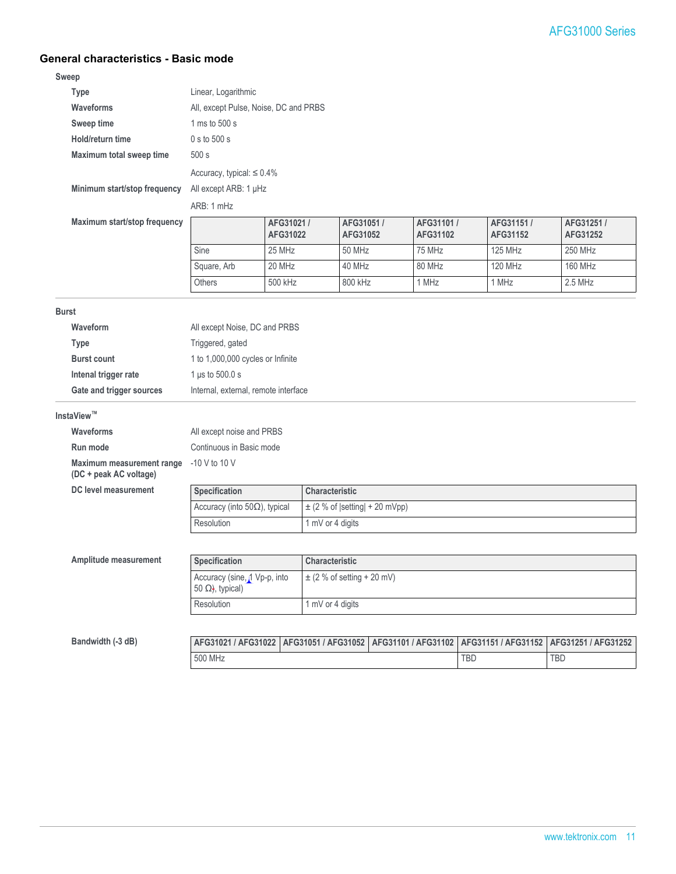#### **General characteristics - Basic mode**

| Sweep                        |                                       |                       |
|------------------------------|---------------------------------------|-----------------------|
| <b>Type</b>                  | Linear, Logarithmic                   |                       |
| Waveforms                    | All, except Pulse, Noise, DC and PRBS |                       |
| Sweep time                   | 1 ms to $500 s$                       |                       |
| Hold/return time             | $0 s$ to 500 s                        |                       |
| Maximum total sweep time     | 500 s                                 |                       |
|                              | Accuracy, typical: $\leq 0.4\%$       |                       |
| Minimum start/stop frequency | All except ARB: 1 µHz                 |                       |
|                              | ARB:1mHz                              |                       |
| Maximum start/stop frequency |                                       | AFG31021/<br>AFG31022 |
|                              | Sine                                  | 25 MH <sub>z</sub>    |

|             | AFG31021/<br>AFG31022 | AFG31051/<br>AFG31052 | AFG31101 /<br>AFG31102 | AFG31151 /<br>AFG31152 | AFG31251/<br>AFG31252 |
|-------------|-----------------------|-----------------------|------------------------|------------------------|-----------------------|
| Sine        | 25 MHz                | 50 MHz                | 75 MHz                 | 125 MHz                | 250 MHz               |
| Square, Arb | 20 MHz                | 40 MHz                | 80 MHz                 | 120 MHz                | 160 MHz               |
| Others      | 500 kHz               | 800 kHz               | 1 MHz                  | 1 MHz                  | $2.5$ MHz             |

#### **Burst**

| <b>Waveform</b>          | All except Noise, DC and PRBS        |
|--------------------------|--------------------------------------|
| Type                     | Triggered, gated                     |
| <b>Burst count</b>       | 1 to 1,000,000 cycles or Infinite    |
| Intenal trigger rate     | 1 $\mu$ s to 500.0 s                 |
| Gate and trigger sources | Internal, external, remote interface |
|                          |                                      |

#### **InstaView™**

| Waveforms                                           | All except noise and PRBS |
|-----------------------------------------------------|---------------------------|
| Run mode                                            | Continuous in Basic mode  |
| Maximum measurement range<br>(DC + peak AC voltage) | $-10$ V to 10 V           |
| DC level measurement                                | <b>Specification</b>      |

| Specification                         | <b>Characteristic</b>              |
|---------------------------------------|------------------------------------|
| Accuracy (into 50 $\Omega$ ), typical | $\pm$ (2 % of  setting  + 20 mVpp) |
| Resolution                            | 1 mV or 4 digits                   |

| Amplitude measurement | <b>Specification</b>                                    | <b>Characteristic</b>          |
|-----------------------|---------------------------------------------------------|--------------------------------|
|                       | Accuracy (sine, 1 Vp-p, into<br>50 $\Omega$ ), typical) | $\pm$ (2 % of setting + 20 mV) |
|                       | Resolution                                              | 1 mV or 4 digits               |
|                       |                                                         |                                |

#### **Bandwidth (-3 dB)**

|         | AFG31021 / AFG31022   AFG31051 / AFG31052   AFG31101 / AFG31102   AFG31151 / AFG31152   AFG31251 / AFG31252 |     |     |
|---------|-------------------------------------------------------------------------------------------------------------|-----|-----|
| 500 MHz |                                                                                                             | TBL | TBD |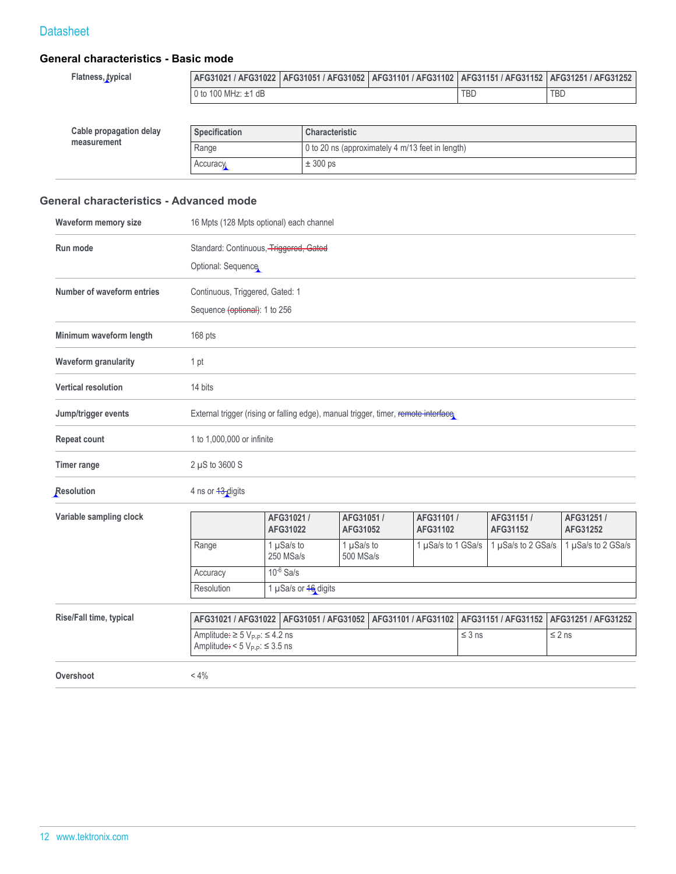## **General characteristics - Basic mode**

| Flatness, typical |                            |  | AFG31021 / AFG31022   AFG31051 / AFG31052   AFG31101 / AFG31102   AFG31151 / AFG31152   AFG31251 / AFG31252 |     |
|-------------------|----------------------------|--|-------------------------------------------------------------------------------------------------------------|-----|
|                   | $0$ to 100 MHz: $\pm$ 1 dB |  | <b>TBL</b>                                                                                                  | TBL |

| Cable propagation delay<br>measurement | <b>Specification</b> | Characteristic                                   |
|----------------------------------------|----------------------|--------------------------------------------------|
|                                        | Range                | 0 to 20 ns (approximately 4 m/13 feet in length) |
|                                        | <b>Accuracy</b>      | $\pm$ 300 ps                                     |

#### **General characteristics - Advanced mode**

| Waveform memory size        |                                                                                                           | 16 Mpts (128 Mpts optional) each channel |                         |                     |                        |             |                        |             |                        |
|-----------------------------|-----------------------------------------------------------------------------------------------------------|------------------------------------------|-------------------------|---------------------|------------------------|-------------|------------------------|-------------|------------------------|
| Run mode                    |                                                                                                           | Standard: Continuous, Triggered, Gated   |                         |                     |                        |             |                        |             |                        |
|                             | Optional: Sequence                                                                                        |                                          |                         |                     |                        |             |                        |             |                        |
| Number of waveform entries  | Continuous, Triggered, Gated: 1                                                                           |                                          |                         |                     |                        |             |                        |             |                        |
|                             | Sequence (optional): 1 to 256                                                                             |                                          |                         |                     |                        |             |                        |             |                        |
| Minimum waveform length     | 168 pts                                                                                                   |                                          |                         |                     |                        |             |                        |             |                        |
| <b>Waveform granularity</b> | 1 pt                                                                                                      |                                          |                         |                     |                        |             |                        |             |                        |
| <b>Vertical resolution</b>  | 14 bits                                                                                                   |                                          |                         |                     |                        |             |                        |             |                        |
| Jump/trigger events         | External trigger (rising or falling edge), manual trigger, timer, remote interface,                       |                                          |                         |                     |                        |             |                        |             |                        |
| Repeat count                |                                                                                                           | 1 to 1,000,000 or infinite               |                         |                     |                        |             |                        |             |                        |
| <b>Timer range</b>          | 2 µS to 3600 S                                                                                            |                                          |                         |                     |                        |             |                        |             |                        |
| Resolution                  | 4 ns or 43-digits                                                                                         |                                          |                         |                     |                        |             |                        |             |                        |
| Variable sampling clock     |                                                                                                           | AFG31021 /<br>AFG31022                   | AFG31051/<br>AFG31052   |                     | AFG31101 /<br>AFG31102 |             | AFG31151 /<br>AFG31152 |             | AFG31251 /<br>AFG31252 |
|                             | Range                                                                                                     | 1 µSa/s to<br>250 MSa/s                  | 1 µSa/s to<br>500 MSa/s |                     | 1 µSa/s to 1 GSa/s     |             | 1 µSa/s to 2 GSa/s     |             | 1 µSa/s to 2 GSa/s     |
|                             | Accuracy                                                                                                  | $10^{-6}$ Sa/s                           |                         |                     |                        |             |                        |             |                        |
|                             | Resolution                                                                                                | 1 µSa/s or 46 digits                     |                         |                     |                        |             |                        |             |                        |
|                             |                                                                                                           |                                          |                         |                     |                        |             |                        |             |                        |
| Rise/Fall time, typical     | AFG31021 / AFG31022                                                                                       | AFG31051 / AFG31052                      |                         | AFG31101 / AFG31102 |                        |             | AFG31151 / AFG31152    |             | AFG31251 / AFG31252    |
|                             | Amplitude: $\geq 5$ V <sub>P-P</sub> : $\leq 4.2$ ns<br>Amplitude: $<$ 5 V <sub>P-P</sub> : $\leq$ 3.5 ns |                                          |                         |                     |                        | $\leq$ 3 ns |                        | $\leq 2$ ns |                        |
| Overshoot                   | $< 4\%$                                                                                                   |                                          |                         |                     |                        |             |                        |             |                        |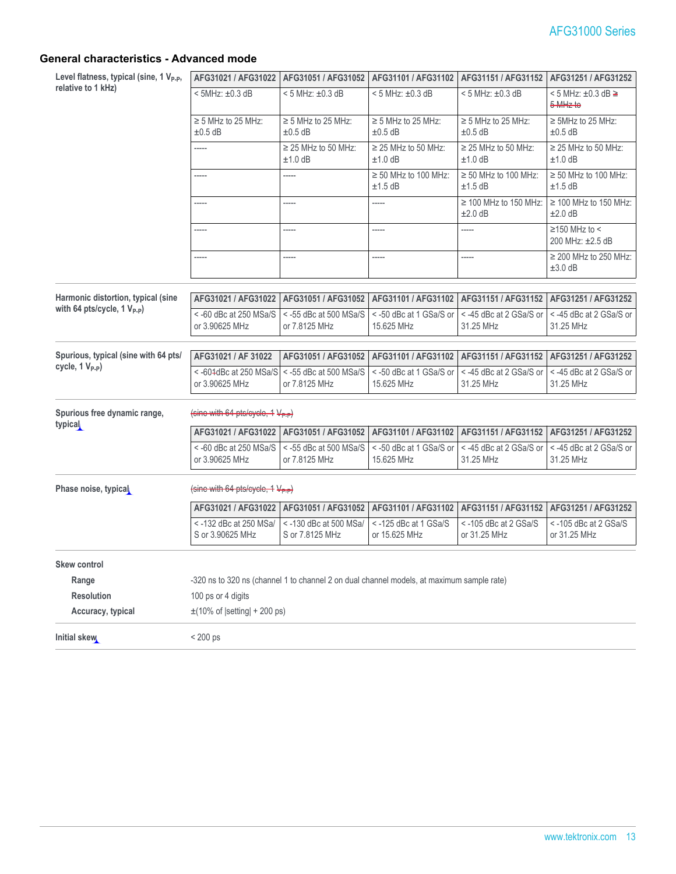#### **General characteristics - Advanced mode**

| Level flatness, typical (sine, 1 V <sub>P-P</sub> , | AFG31021 / AFG31022                                                                       | AFG31051 / AFG31052                       | AFG31101 / AFG31102                      | AFG31151 / AFG31152                     | AFG31251 / AFG31252                        |  |  |
|-----------------------------------------------------|-------------------------------------------------------------------------------------------|-------------------------------------------|------------------------------------------|-----------------------------------------|--------------------------------------------|--|--|
| relative to 1 kHz)                                  | $<$ 5MHz: $\pm$ 0.3 dB                                                                    | $<$ 5 MHz: $\pm$ 0.3 dB                   | $<$ 5 MHz: $\pm$ 0.3 dB                  | $< 5$ MHz: $\pm 0.3$ dB                 | $<$ 5 MHz: $\pm$ 0.3 dB $\geq$<br>5 MHz to |  |  |
|                                                     | $\geq$ 5 MHz to 25 MHz:<br>$±0.5$ dB                                                      | $\geq$ 5 MHz to 25 MHz:<br>$±0.5$ dB      | $\geq$ 5 MHz to 25 MHz:<br>$±0.5$ dB     | $\geq$ 5 MHz to 25 MHz:<br>$±0.5$ dB    | $\geq$ 5MHz to 25 MHz:<br>$\pm 0.5$ dB     |  |  |
|                                                     | -----                                                                                     | $\geq$ 25 MHz to 50 MHz:<br>$±1.0$ dB     | $\geq$ 25 MHz to 50 MHz:<br>$±1.0$ dB    | $\geq$ 25 MHz to 50 MHz:<br>$±1.0$ dB   | $\geq$ 25 MHz to 50 MHz:<br>$±1.0$ dB      |  |  |
|                                                     | -----                                                                                     | -----                                     | $\geq$ 50 MHz to 100 MHz:<br>$±1.5$ dB   | $\geq$ 50 MHz to 100 MHz:<br>$±1.5$ dB  | $\geq$ 50 MHz to 100 MHz:<br>$±1.5$ dB     |  |  |
|                                                     | -----                                                                                     | -----                                     | -----                                    | $\geq$ 100 MHz to 150 MHz:<br>$±2.0$ dB | $\geq$ 100 MHz to 150 MHz:<br>$±2.0$ dB    |  |  |
|                                                     |                                                                                           | -----                                     | -----                                    | -----                                   | $\geq$ 150 MHz to <<br>200 MHz: ±2.5 dB    |  |  |
|                                                     | -----                                                                                     | -----                                     | -----                                    | -----                                   | $\geq$ 200 MHz to 250 MHz:<br>$±3.0$ dB    |  |  |
| Harmonic distortion, typical (sine                  | AFG31021 / AFG31022                                                                       | AFG31051 / AFG31052                       | AFG31101 / AFG31102                      | AFG31151 / AFG31152                     | AFG31251 / AFG31252                        |  |  |
| with 64 pts/cycle, 1 V <sub>P-P</sub> )             | <- 60 dBc at 250 MSa/S                                                                    | < -55 dBc at 500 MSa/S                    | <- 50 dBc at 1 GSa/S or                  | <-45 dBc at 2 GSa/S or                  | < -45 dBc at 2 GSa/S or                    |  |  |
|                                                     | or 3.90625 MHz                                                                            | or 7.8125 MHz                             | 15.625 MHz                               | 31.25 MHz                               | 31.25 MHz                                  |  |  |
| Spurious, typical (sine with 64 pts/                | AFG31021 / AF 31022                                                                       | AFG31051 / AFG31052                       | AFG31101 / AFG31102                      | AFG31151 / AFG31152                     | AFG31251 / AFG31252                        |  |  |
| cycle, 1 V <sub>P-P</sub> )                         | $\le$ -604dBc at 250 MSa/S<br>or 3.90625 MHz                                              | < -55 dBc at 500 MSa/S<br>or 7.8125 MHz   | <- 50 dBc at 1 GSa/S or<br>15.625 MHz    | <-45 dBc at 2 GSa/S or<br>31.25 MHz     | <-45 dBc at 2 GSa/S or<br>31.25 MHz        |  |  |
| Spurious free dynamic range,                        | (sine with 64 pts/cycle, $4 V_{p,p}$ )                                                    |                                           |                                          |                                         |                                            |  |  |
| typical                                             | AFG31021 / AFG31022                                                                       | AFG31051 / AFG31052                       | AFG31101 / AFG31102                      | AFG31151 / AFG31152                     | AFG31251 / AFG31252                        |  |  |
|                                                     | $<$ -60 dBc at 250 MSa/S<br>or 3.90625 MHz                                                | <- 55 dBc at 500 MSa/S<br>or 7.8125 MHz   | <- 50 dBc at 1 GSa/S or<br>15.625 MHz    | < -45 dBc at 2 GSa/S or<br>31.25 MHz    | < -45 dBc at 2 GSa/S or<br>31.25 MHz       |  |  |
| Phase noise, typical                                | (sine with 64 pts/cycle, 1 V <sub>p-p</sub> )                                             |                                           |                                          |                                         |                                            |  |  |
|                                                     | AFG31021 / AFG31022                                                                       | AFG31051 / AFG31052                       | AFG31101 / AFG31102                      | AFG31151 / AFG31152                     | AFG31251 / AFG31252                        |  |  |
|                                                     | < -132 dBc at 250 MSa/<br>S or 3.90625 MHz                                                | < -130 dBc at 500 MSa/<br>S or 7.8125 MHz | $<$ -125 dBc at 1 GSa/S<br>or 15.625 MHz | <-105 dBc at 2 GSa/S<br>or 31.25 MHz    | <- 105 dBc at 2 GSa/S<br>or 31.25 MHz      |  |  |
| <b>Skew control</b>                                 |                                                                                           |                                           |                                          |                                         |                                            |  |  |
| Range                                               | -320 ns to 320 ns (channel 1 to channel 2 on dual channel models, at maximum sample rate) |                                           |                                          |                                         |                                            |  |  |
| <b>Resolution</b>                                   | 100 ps or 4 digits                                                                        |                                           |                                          |                                         |                                            |  |  |
| Accuracy, typical                                   | $\pm$ (10% of  setting  + 200 ps)                                                         |                                           |                                          |                                         |                                            |  |  |
| Initial skew                                        | $< 200$ ps                                                                                |                                           |                                          |                                         |                                            |  |  |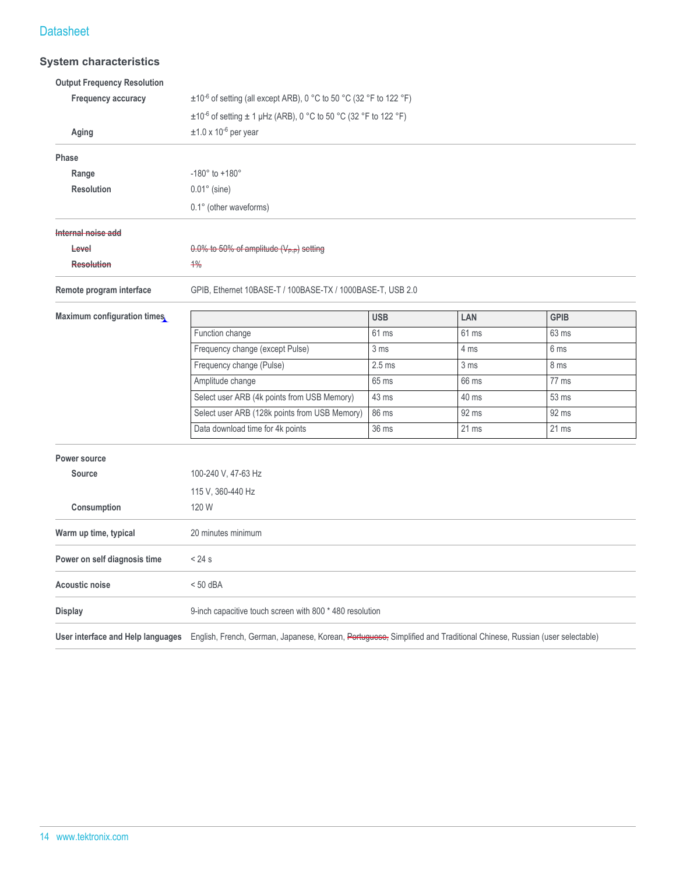## **System characteristics**

| <b>Output Frequency Resolution</b> |                                                                                |                                                                                                                                                        |                 |             |  |  |
|------------------------------------|--------------------------------------------------------------------------------|--------------------------------------------------------------------------------------------------------------------------------------------------------|-----------------|-------------|--|--|
| Frequency accuracy                 | ±10 <sup>-6</sup> of setting (all except ARB), 0 °C to 50 °C (32 °F to 122 °F) |                                                                                                                                                        |                 |             |  |  |
|                                    | $\pm 10^{-6}$ of setting $\pm 1$ µHz (ARB), 0 °C to 50 °C (32 °F to 122 °F)    |                                                                                                                                                        |                 |             |  |  |
| Aging                              | $\pm 1.0 \times 10^{-6}$ per year                                              |                                                                                                                                                        |                 |             |  |  |
| Phase                              |                                                                                |                                                                                                                                                        |                 |             |  |  |
| Range                              | $-180^{\circ}$ to $+180^{\circ}$                                               |                                                                                                                                                        |                 |             |  |  |
| <b>Resolution</b>                  | $0.01^{\circ}$ (sine)                                                          |                                                                                                                                                        |                 |             |  |  |
|                                    | 0.1° (other waveforms)                                                         |                                                                                                                                                        |                 |             |  |  |
| Internal noise add                 |                                                                                |                                                                                                                                                        |                 |             |  |  |
| Level                              | 0.0% to 50% of amplitude (V <sub>P-P</sub> ) setting                           |                                                                                                                                                        |                 |             |  |  |
| <b>Resolution</b>                  | 4%                                                                             |                                                                                                                                                        |                 |             |  |  |
| Remote program interface           | GPIB, Ethernet 10BASE-T / 100BASE-TX / 1000BASE-T, USB 2.0                     |                                                                                                                                                        |                 |             |  |  |
| Maximum configuration times        |                                                                                | <b>USB</b>                                                                                                                                             | LAN             | <b>GPIB</b> |  |  |
|                                    | Function change                                                                | 61 ms                                                                                                                                                  | 61 ms           | 63 ms       |  |  |
|                                    | Frequency change (except Pulse)                                                | 3 <sub>ms</sub>                                                                                                                                        | 4 ms            | 6 ms        |  |  |
|                                    | Frequency change (Pulse)                                                       | 2.5 <sub>ms</sub>                                                                                                                                      | 3 <sub>ms</sub> | 8 ms        |  |  |
|                                    | Amplitude change                                                               | 65 ms                                                                                                                                                  | 66 ms           | $77$ ms     |  |  |
|                                    | Select user ARB (4k points from USB Memory)                                    | 43 ms                                                                                                                                                  | 40 ms           | 53 ms       |  |  |
|                                    | Select user ARB (128k points from USB Memory)                                  | 86 ms                                                                                                                                                  | 92 ms           | $92$ ms     |  |  |
|                                    | Data download time for 4k points                                               | 36 ms                                                                                                                                                  | 21 ms           | 21 ms       |  |  |
| Power source                       |                                                                                |                                                                                                                                                        |                 |             |  |  |
| <b>Source</b>                      | 100-240 V, 47-63 Hz                                                            |                                                                                                                                                        |                 |             |  |  |
|                                    | 115 V, 360-440 Hz                                                              |                                                                                                                                                        |                 |             |  |  |
| Consumption                        | 120 W                                                                          |                                                                                                                                                        |                 |             |  |  |
| Warm up time, typical              | 20 minutes minimum                                                             |                                                                                                                                                        |                 |             |  |  |
| Power on self diagnosis time       | $< 24$ s                                                                       |                                                                                                                                                        |                 |             |  |  |
| <b>Acoustic noise</b>              | $< 50$ dBA                                                                     |                                                                                                                                                        |                 |             |  |  |
| <b>Display</b>                     | 9-inch capacitive touch screen with 800 * 480 resolution                       |                                                                                                                                                        |                 |             |  |  |
|                                    |                                                                                | User interface and Help languages English, French, German, Japanese, Korean, Portuguese, Simplified and Traditional Chinese, Russian (user selectable) |                 |             |  |  |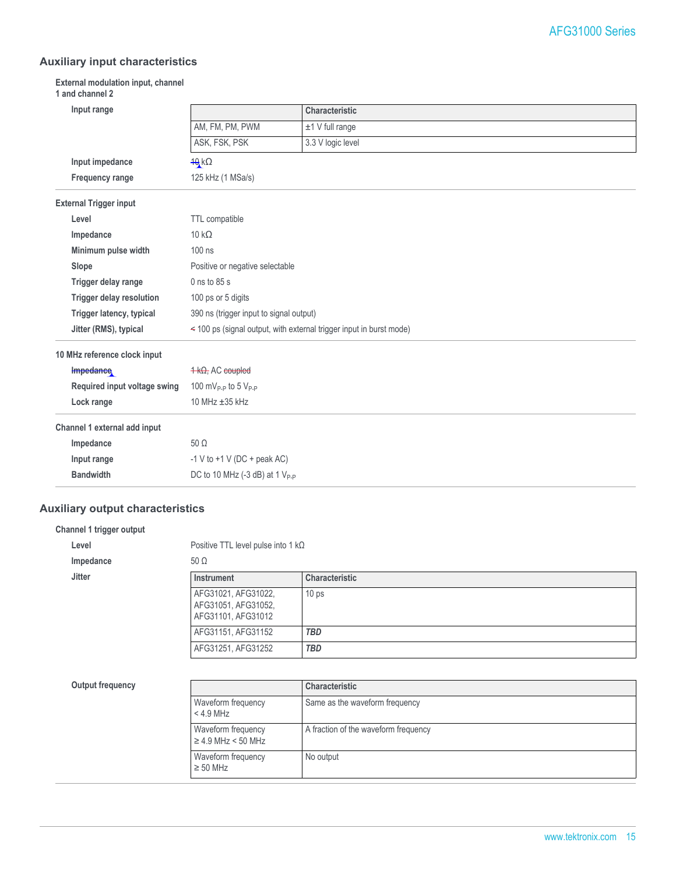## **Auxiliary input characteristics**

#### **External modulation input, channel**

#### **1 and channel 2**

| Input range                   |                                             | Characteristic                                                      |
|-------------------------------|---------------------------------------------|---------------------------------------------------------------------|
|                               | AM, FM, PM, PWM                             | $±1$ V full range                                                   |
|                               | ASK, FSK, PSK                               | 3.3 V logic level                                                   |
| Input impedance               | $40 k\Omega$                                |                                                                     |
| <b>Frequency range</b>        | 125 kHz (1 MSa/s)                           |                                                                     |
| <b>External Trigger input</b> |                                             |                                                                     |
| Level                         | TTL compatible                              |                                                                     |
| Impedance                     | $10 k\Omega$                                |                                                                     |
| Minimum pulse width           | $100$ ns                                    |                                                                     |
| Slope                         | Positive or negative selectable             |                                                                     |
| Trigger delay range           | $0$ ns to $85$ s                            |                                                                     |
| Trigger delay resolution      | 100 ps or 5 digits                          |                                                                     |
| Trigger latency, typical      | 390 ns (trigger input to signal output)     |                                                                     |
| Jitter (RMS), typical         |                                             | < 100 ps (signal output, with external trigger input in burst mode) |
| 10 MHz reference clock input  |                                             |                                                                     |
| <b>Impedance</b>              | $4k\Omega$ , AC coupled                     |                                                                     |
| Required input voltage swing  | 100 mV <sub>P-P</sub> to 5 V <sub>P-P</sub> |                                                                     |
| Lock range                    | 10 MHz ±35 kHz                              |                                                                     |
| Channel 1 external add input  |                                             |                                                                     |
| Impedance                     | $50 \Omega$                                 |                                                                     |
| Input range                   | -1 V to $+1$ V (DC + peak AC)               |                                                                     |
| <b>Bandwidth</b>              | DC to 10 MHz (-3 dB) at 1 V <sub>P-P</sub>  |                                                                     |
|                               |                                             |                                                                     |

## **Auxiliary output characteristics**

| Channel 1 trigger output |                                                                  |                                      |  |  |  |
|--------------------------|------------------------------------------------------------------|--------------------------------------|--|--|--|
| Level                    | Positive TTL level pulse into 1 $k\Omega$                        |                                      |  |  |  |
| Impedance                | $50 \Omega$                                                      |                                      |  |  |  |
| <b>Jitter</b>            | <b>Instrument</b>                                                | <b>Characteristic</b>                |  |  |  |
|                          | AFG31021, AFG31022,<br>AFG31051, AFG31052,<br>AFG31101, AFG31012 | 10 <sub>ps</sub>                     |  |  |  |
|                          | AFG31151, AFG31152                                               | <b>TBD</b>                           |  |  |  |
|                          | AFG31251, AFG31252                                               | <b>TBD</b>                           |  |  |  |
|                          |                                                                  |                                      |  |  |  |
| Output frequency         |                                                                  | Characteristic                       |  |  |  |
|                          | Waveform frequency<br>$<$ 4.9 MHz                                | Same as the waveform frequency       |  |  |  |
|                          | Waveform frequency<br>$\geq$ 4.9 MHz < 50 MHz                    | A fraction of the waveform frequency |  |  |  |

No output

Waveform frequency ≥ 50 MHz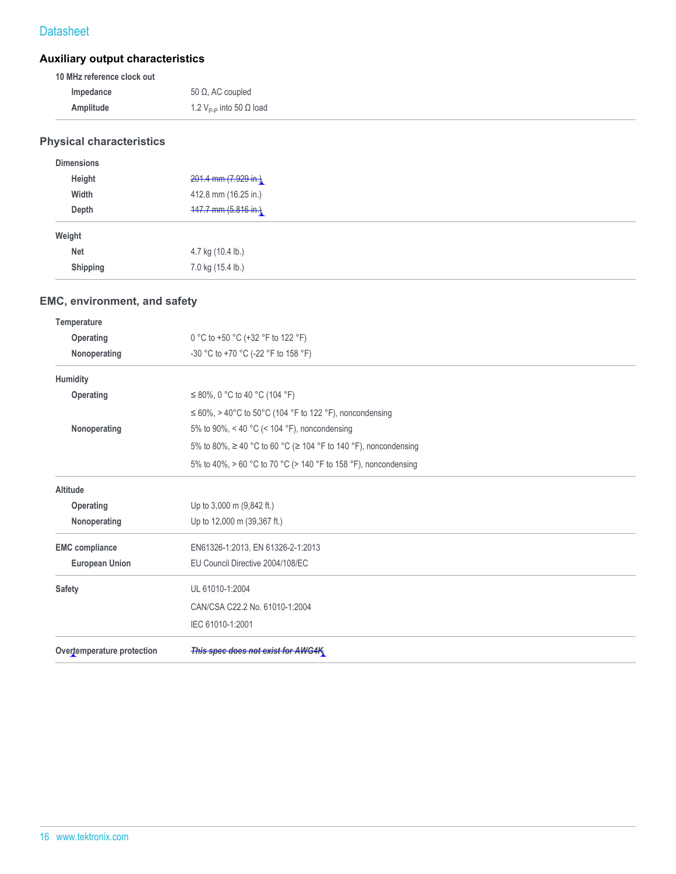# **Auxiliary output characteristics**

| 10 MHz reference clock out |                                            |  |  |
|----------------------------|--------------------------------------------|--|--|
| Impedance                  | 50 Ω, AC coupled                           |  |  |
| Amplitude                  | 1.2 $V_{\text{P-P}}$ into 50 $\Omega$ load |  |  |

# **Physical characteristics**

| <b>Dimensions</b> |                                 |  |  |
|-------------------|---------------------------------|--|--|
| Height            | 201.4 mm (7.929 in.)            |  |  |
| Width             | 412.8 mm (16.25 in.)            |  |  |
| Depth             | <del>147.7 mm (5.816 in.)</del> |  |  |
| Weight            |                                 |  |  |
| <b>Net</b>        | 4.7 kg (10.4 lb.)               |  |  |
|                   |                                 |  |  |
| Shipping          | 7.0 kg (15.4 lb.)               |  |  |

# **EMC, environment, and safety**

| Temperature                |                                                                            |
|----------------------------|----------------------------------------------------------------------------|
| Operating                  | 0 °C to +50 °C (+32 °F to 122 °F)                                          |
| Nonoperating               | -30 °C to +70 °C (-22 °F to 158 °F)                                        |
| Humidity                   |                                                                            |
| Operating                  | ≤ 80%, 0 °C to 40 °C (104 °F)                                              |
|                            | $\leq 60\%$ , > 40°C to 50°C (104 °F to 122 °F), noncondensing             |
| Nonoperating               | 5% to 90%, < 40 °C (< 104 °F), noncondensing                               |
|                            | 5% to 80%, $\geq$ 40 °C to 60 °C ( $\geq$ 104 °F to 140 °F), noncondensing |
|                            | 5% to 40%, > 60 °C to 70 °C (> 140 °F to 158 °F), noncondensing            |
| Altitude                   |                                                                            |
| Operating                  | Up to 3,000 m (9,842 ft.)                                                  |
| Nonoperating               | Up to 12,000 m (39,367 ft.)                                                |
| <b>EMC</b> compliance      | EN61326-1:2013, EN 61326-2-1:2013                                          |
| <b>European Union</b>      | EU Council Directive 2004/108/EC                                           |
| <b>Safety</b>              | UL 61010-1:2004                                                            |
|                            | CAN/CSA C22.2 No. 61010-1:2004                                             |
|                            | IEC 61010-1:2001                                                           |
| Overtemperature protection | This spec does not exist for AWG4K                                         |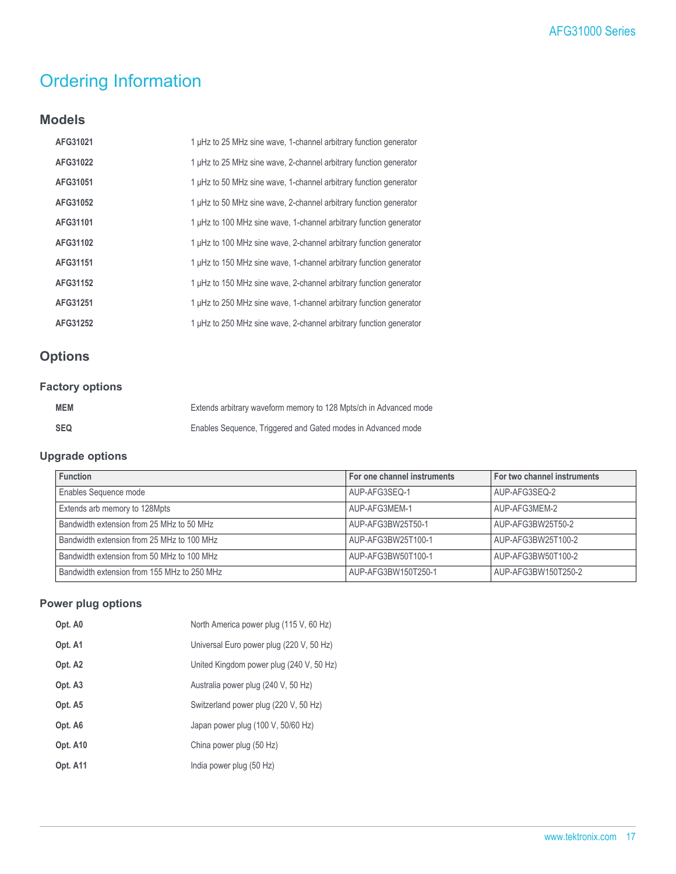# Ordering Information

# **Models**

| AFG31021 | 1 µHz to 25 MHz sine wave, 1-channel arbitrary function generator  |
|----------|--------------------------------------------------------------------|
| AFG31022 | 1 µHz to 25 MHz sine wave, 2-channel arbitrary function generator  |
| AFG31051 | 1 µHz to 50 MHz sine wave, 1-channel arbitrary function generator  |
| AFG31052 | 1 µHz to 50 MHz sine wave, 2-channel arbitrary function generator  |
| AFG31101 | 1 µHz to 100 MHz sine wave, 1-channel arbitrary function generator |
| AFG31102 | 1 µHz to 100 MHz sine wave, 2-channel arbitrary function generator |
| AFG31151 | 1 µHz to 150 MHz sine wave, 1-channel arbitrary function generator |
| AFG31152 | 1 µHz to 150 MHz sine wave, 2-channel arbitrary function generator |
| AFG31251 | 1 µHz to 250 MHz sine wave, 1-channel arbitrary function generator |
| AFG31252 | 1 µHz to 250 MHz sine wave, 2-channel arbitrary function generator |

# **Options**

# **Factory options**

| <b>MEM</b> | Extends arbitrary waveform memory to 128 Mpts/ch in Advanced mode |
|------------|-------------------------------------------------------------------|
| <b>SEQ</b> | Enables Sequence, Triggered and Gated modes in Advanced mode      |

# **Upgrade options**

| <b>Function</b>                             | For one channel instruments | For two channel instruments |
|---------------------------------------------|-----------------------------|-----------------------------|
| Enables Sequence mode                       | AUP-AFG3SEQ-1               | AUP-AFG3SEQ-2               |
| Extends arb memory to 128Mpts               | AUP-AFG3MEM-1               | AUP-AFG3MEM-2               |
| Bandwidth extension from 25 MHz to 50 MHz   | AUP-AFG3BW25T50-1           | AUP-AFG3BW25T50-2           |
| Bandwidth extension from 25 MHz to 100 MHz  | AUP-AFG3BW25T100-1          | AUP-AFG3BW25T100-2          |
| Bandwidth extension from 50 MHz to 100 MHz  | AUP-AFG3BW50T100-1          | AUP-AFG3BW50T100-2          |
| Bandwidth extension from 155 MHz to 250 MHz | AUP-AFG3BW150T250-1         | AUP-AFG3BW150T250-2         |

# **Power plug options**

| Opt. A0             | North America power plug (115 V, 60 Hz)  |
|---------------------|------------------------------------------|
| Opt. A1             | Universal Euro power plug (220 V, 50 Hz) |
| Opt. A <sub>2</sub> | United Kingdom power plug (240 V, 50 Hz) |
| Opt. A3             | Australia power plug (240 V, 50 Hz)      |
| Opt. A5             | Switzerland power plug (220 V, 50 Hz)    |
| Opt. A6             | Japan power plug (100 V, 50/60 Hz)       |
| Opt. A10            | China power plug (50 Hz)                 |
| <b>Opt. A11</b>     | India power plug (50 Hz)                 |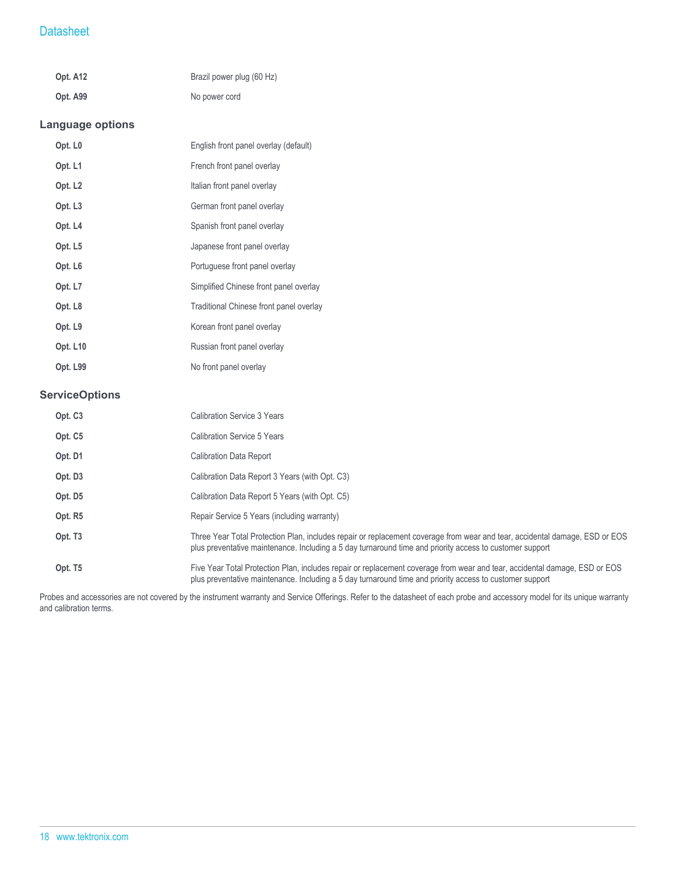| <b>Opt. A12</b> | Brazil power plug (60 Hz) |
|-----------------|---------------------------|
| Opt. A99        | No power cord             |

# **Language options**

| Opt. L <sub>0</sub> | English front panel overlay (default)   |
|---------------------|-----------------------------------------|
| Opt. L1             | French front panel overlay              |
| Opt. L <sub>2</sub> | Italian front panel overlay             |
| Opt. L <sub>3</sub> | German front panel overlay              |
| Opt. L4             | Spanish front panel overlay             |
| Opt. L5             | Japanese front panel overlay            |
| Opt. L <sub>6</sub> | Portuguese front panel overlay          |
| Opt. L7             | Simplified Chinese front panel overlay  |
| Opt. L8             | Traditional Chinese front panel overlay |
| Opt. L9             | Korean front panel overlay              |
| Opt. L10            | Russian front panel overlay             |
| Opt. L99            | No front panel overlay                  |

#### **ServiceOptions**

| Opt. C <sub>3</sub> | Calibration Service 3 Years                                                                                                                                                                                                             |
|---------------------|-----------------------------------------------------------------------------------------------------------------------------------------------------------------------------------------------------------------------------------------|
| Opt. C5             | Calibration Service 5 Years                                                                                                                                                                                                             |
| Opt. D1             | <b>Calibration Data Report</b>                                                                                                                                                                                                          |
| Opt. D <sub>3</sub> | Calibration Data Report 3 Years (with Opt. C3)                                                                                                                                                                                          |
| Opt. D5             | Calibration Data Report 5 Years (with Opt. C5)                                                                                                                                                                                          |
| Opt. R5             | Repair Service 5 Years (including warranty)                                                                                                                                                                                             |
| Opt. T <sub>3</sub> | Three Year Total Protection Plan, includes repair or replacement coverage from wear and tear, accidental damage, ESD or EOS<br>plus preventative maintenance. Including a 5 day turnaround time and priority access to customer support |
| Opt. T <sub>5</sub> | Five Year Total Protection Plan, includes repair or replacement coverage from wear and tear, accidental damage, ESD or EOS<br>plus preventative maintenance. Including a 5 day turnaround time and priority access to customer support  |

Probes and accessories are not covered by the instrument warranty and Service Offerings. Refer to the datasheet of each probe and accessory model for its unique warranty and calibration terms.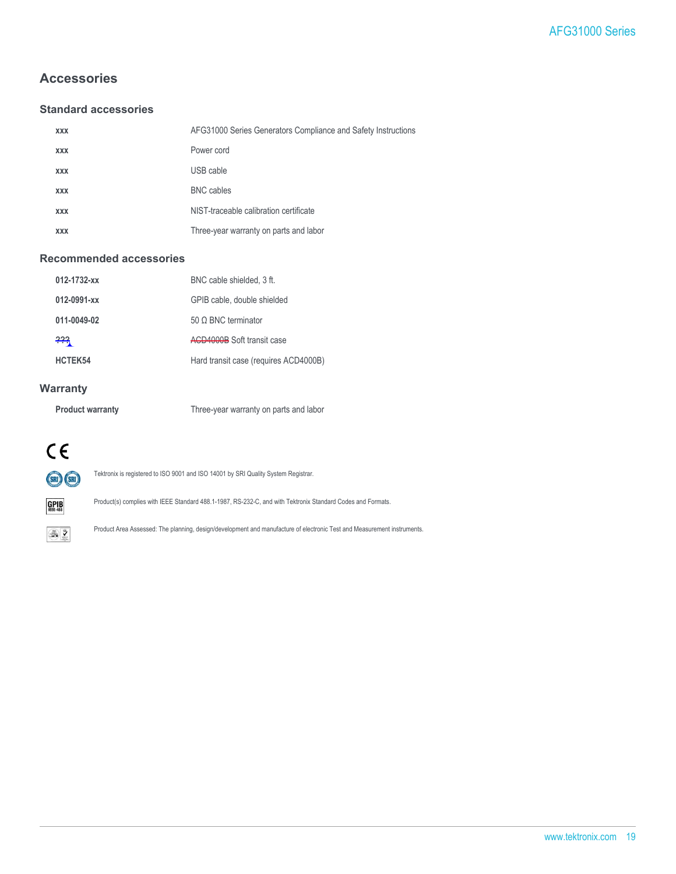# **Accessories**

#### **Standard accessories**

| Power cord<br><b>XXX</b>                             |  |
|------------------------------------------------------|--|
| USB cable<br><b>XXX</b>                              |  |
| <b>BNC</b> cables<br><b>XXX</b>                      |  |
| NIST-traceable calibration certificate<br><b>XXX</b> |  |
| Three-year warranty on parts and labor<br><b>XXX</b> |  |

#### **Recommended accessories**

| 012-1732-xx | BNC cable shielded, 3 ft.             |
|-------------|---------------------------------------|
| 012-0991-xx | GPIB cable, double shielded           |
| 011-0049-02 | $50 \Omega$ BNC terminator            |
|             | AGD4000B Soft transit case            |
| HCTEK54     | Hard transit case (requires ACD4000B) |

#### **Warranty**

| <b>Product warranty</b> | Three-year warranty on parts and labor |
|-------------------------|----------------------------------------|
|                         |                                        |



Tektronix is registered to ISO 9001 and ISO 14001 by SRI Quality System Registrar.



Product(s) complies with IEEE Standard 488.1-1987, RS-232-C, and with Tektronix Standard Codes and Formats.

Product Area Assessed: The planning, design/development and manufacture of electronic Test and Measurement instruments.